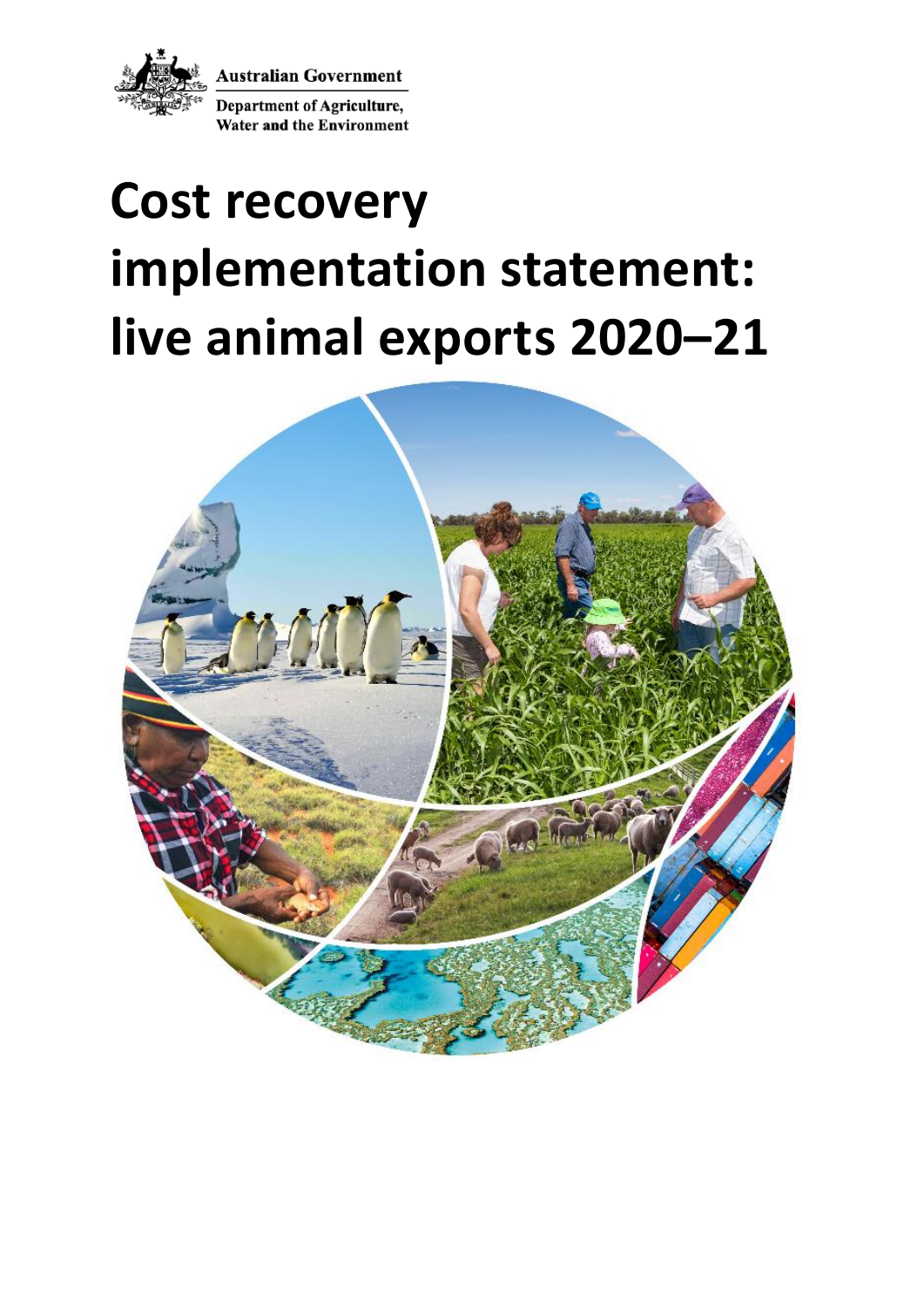

**Australian Government** 

**Department of Agriculture, Water and the Environment** 

# **Cost recovery implementation statement: live animal exports 2020–21**

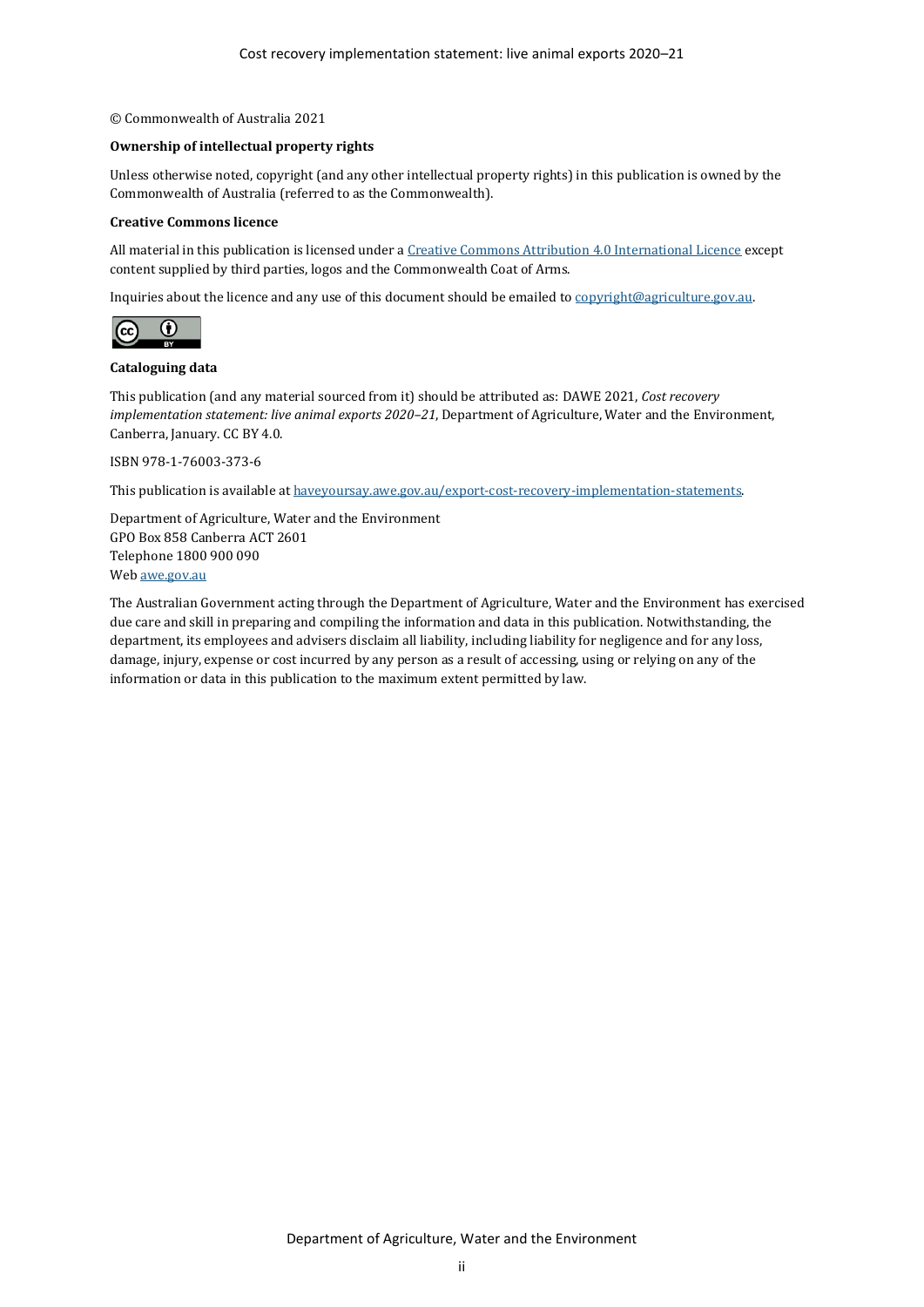#### © Commonwealth of Australia 2021

#### **Ownership of intellectual property rights**

Unless otherwise noted, copyright (and any other intellectual property rights) in this publication is owned by the Commonwealth of Australia (referred to as the Commonwealth).

#### **Creative Commons licence**

All material in this publication is licensed under [a Creative Commons Attribution 4.0 International Licence](https://creativecommons.org/licenses/by/4.0/legalcode) except content supplied by third parties, logos and the Commonwealth Coat of Arms.

Inquiries about the licence and any use of this document should be emailed t[o copyright@agriculture.gov.au.](mailto:copyright@agriculture.gov.au)



#### **Cataloguing data**

This publication (and any material sourced from it) should be attributed as: DAWE 2021, *Cost recovery implementation statement: live animal exports 2020–21*, Department of Agriculture, Water and the Environment, Canberra, January. CC BY 4.0.

ISBN 978-1-76003-373-6

This publication is available a[t haveyoursay.awe.gov.au/export-cost-recovery-implementation-statements.](file://///Act001cl04fs02/parliamentmedia$/ParliamentMedia/Corporate%20Communications/Production/Editors/Editing%202021/CRIS%20Jan/CRIS%20check/haveyoursay.awe.gov.au/export-cost-recovery-implementation-statements)

Department of Agriculture, Water and the Environment GPO Box 858 Canberra ACT 2601 Telephone 1800 900 090 We[b awe.gov.au](https://www.awe.gov.au/)

The Australian Government acting through the Department of Agriculture, Water and the Environment has exercised due care and skill in preparing and compiling the information and data in this publication. Notwithstanding, the department, its employees and advisers disclaim all liability, including liability for negligence and for any loss, damage, injury, expense or cost incurred by any person as a result of accessing, using or relying on any of the information or data in this publication to the maximum extent permitted by law.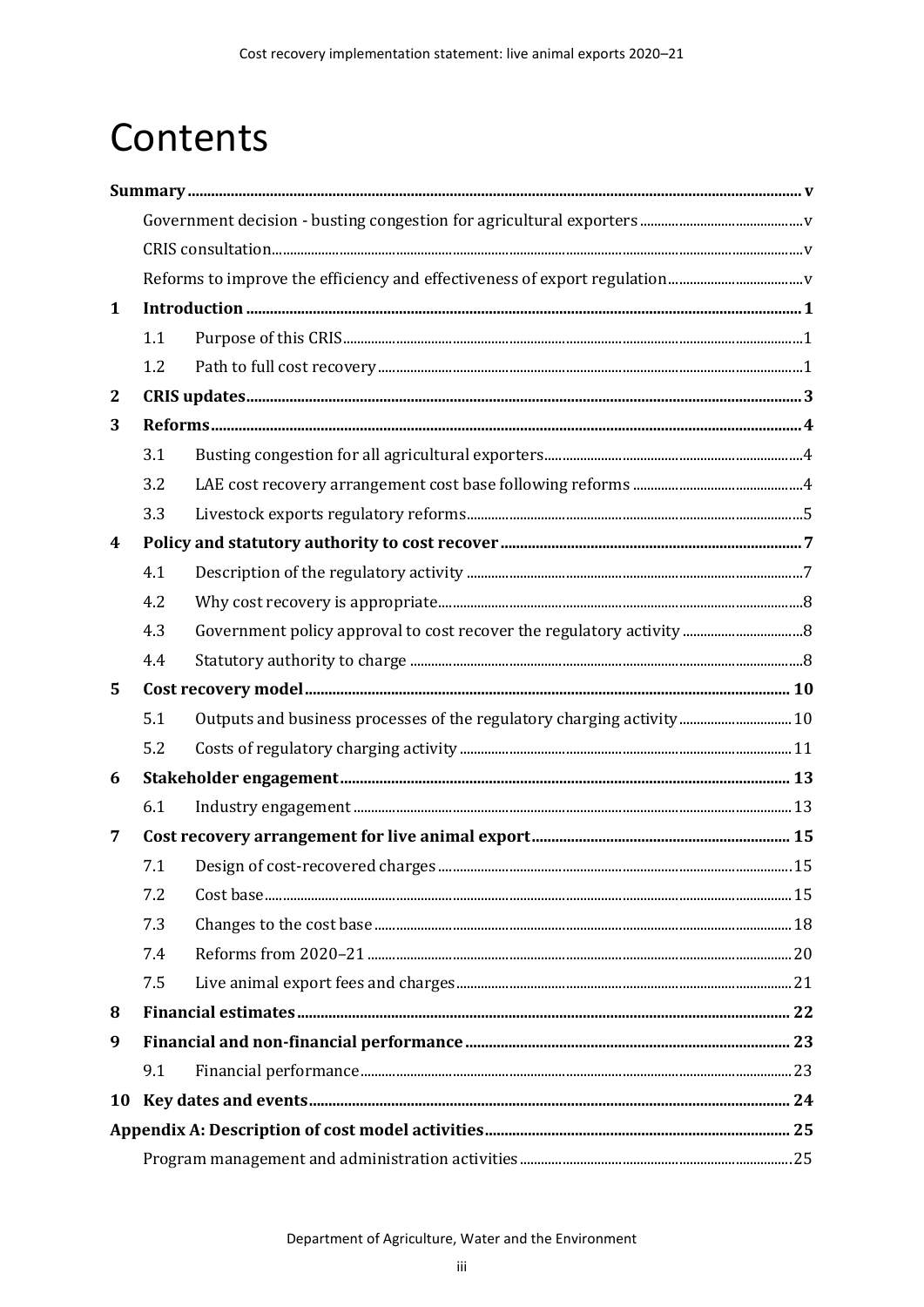# Contents

| $\mathbf{1}$ |     |                                                                       |  |  |  |
|--------------|-----|-----------------------------------------------------------------------|--|--|--|
|              | 1.1 |                                                                       |  |  |  |
|              | 1.2 |                                                                       |  |  |  |
| $\mathbf{2}$ |     |                                                                       |  |  |  |
| 3            |     |                                                                       |  |  |  |
|              | 3.1 |                                                                       |  |  |  |
|              | 3.2 |                                                                       |  |  |  |
|              | 3.3 |                                                                       |  |  |  |
| 4            |     |                                                                       |  |  |  |
|              | 4.1 |                                                                       |  |  |  |
|              | 4.2 |                                                                       |  |  |  |
|              | 4.3 |                                                                       |  |  |  |
|              | 4.4 |                                                                       |  |  |  |
| 5            |     |                                                                       |  |  |  |
|              | 5.1 | Outputs and business processes of the regulatory charging activity 10 |  |  |  |
|              | 5.2 |                                                                       |  |  |  |
| 6            |     |                                                                       |  |  |  |
|              | 6.1 |                                                                       |  |  |  |
| 7            |     |                                                                       |  |  |  |
|              | 7.1 |                                                                       |  |  |  |
|              | 7.2 |                                                                       |  |  |  |
|              | 7.3 |                                                                       |  |  |  |
|              | 7.4 |                                                                       |  |  |  |
|              | 7.5 |                                                                       |  |  |  |
| 8            |     |                                                                       |  |  |  |
| 9            |     |                                                                       |  |  |  |
|              | 9.1 |                                                                       |  |  |  |
| 10           |     |                                                                       |  |  |  |
|              |     |                                                                       |  |  |  |
|              |     |                                                                       |  |  |  |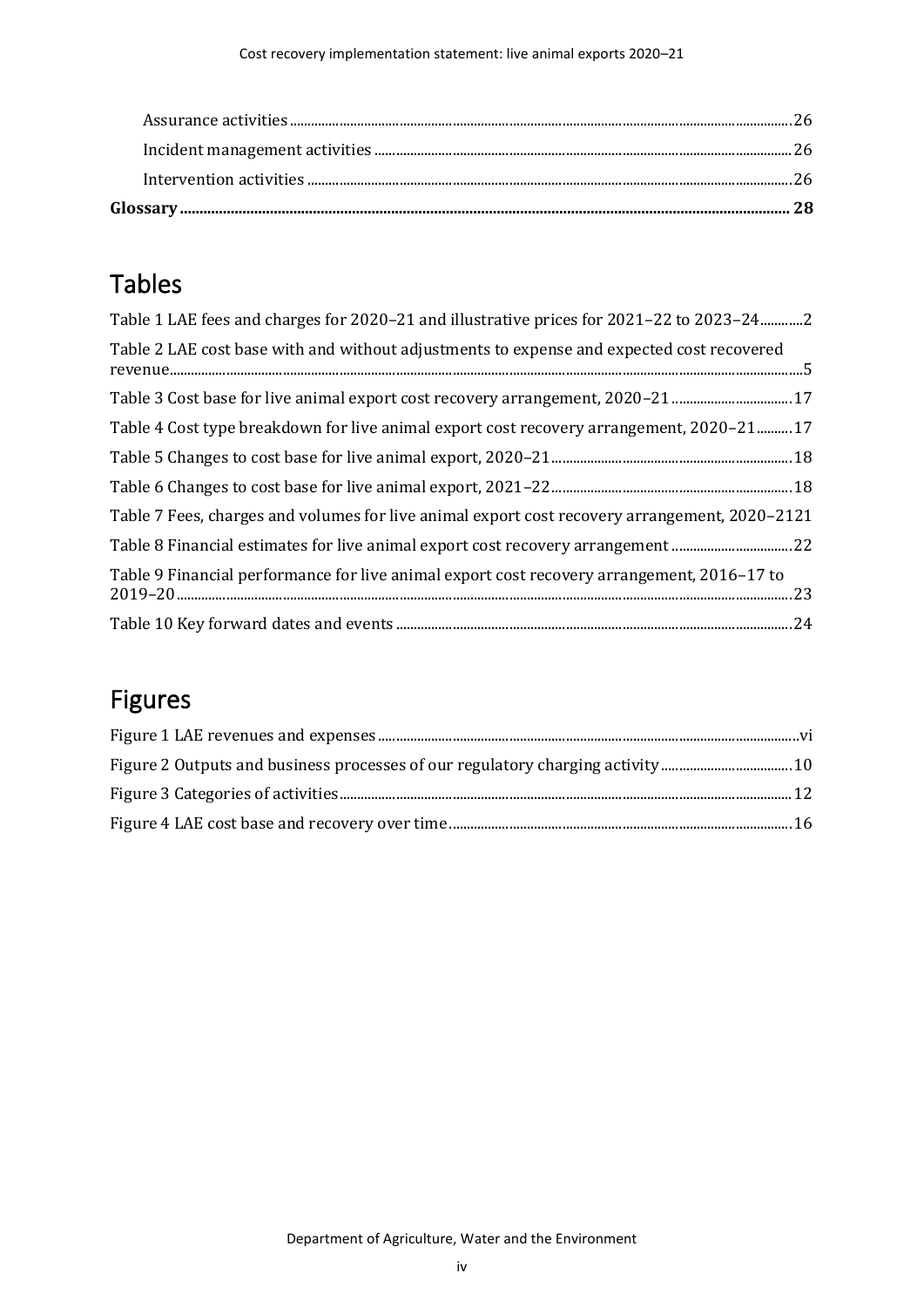# Tables

| Table 1 LAE fees and charges for 2020–21 and illustrative prices for 2021–22 to 2023–242      |
|-----------------------------------------------------------------------------------------------|
| Table 2 LAE cost base with and without adjustments to expense and expected cost recovered     |
| Table 3 Cost base for live animal export cost recovery arrangement, 2020–21 17                |
| Table 4 Cost type breakdown for live animal export cost recovery arrangement, 2020-2117       |
|                                                                                               |
|                                                                                               |
| Table 7 Fees, charges and volumes for live animal export cost recovery arrangement, 2020–2121 |
| Table 8 Financial estimates for live animal export cost recovery arrangement 22               |
| Table 9 Financial performance for live animal export cost recovery arrangement, 2016–17 to    |
|                                                                                               |

# Figures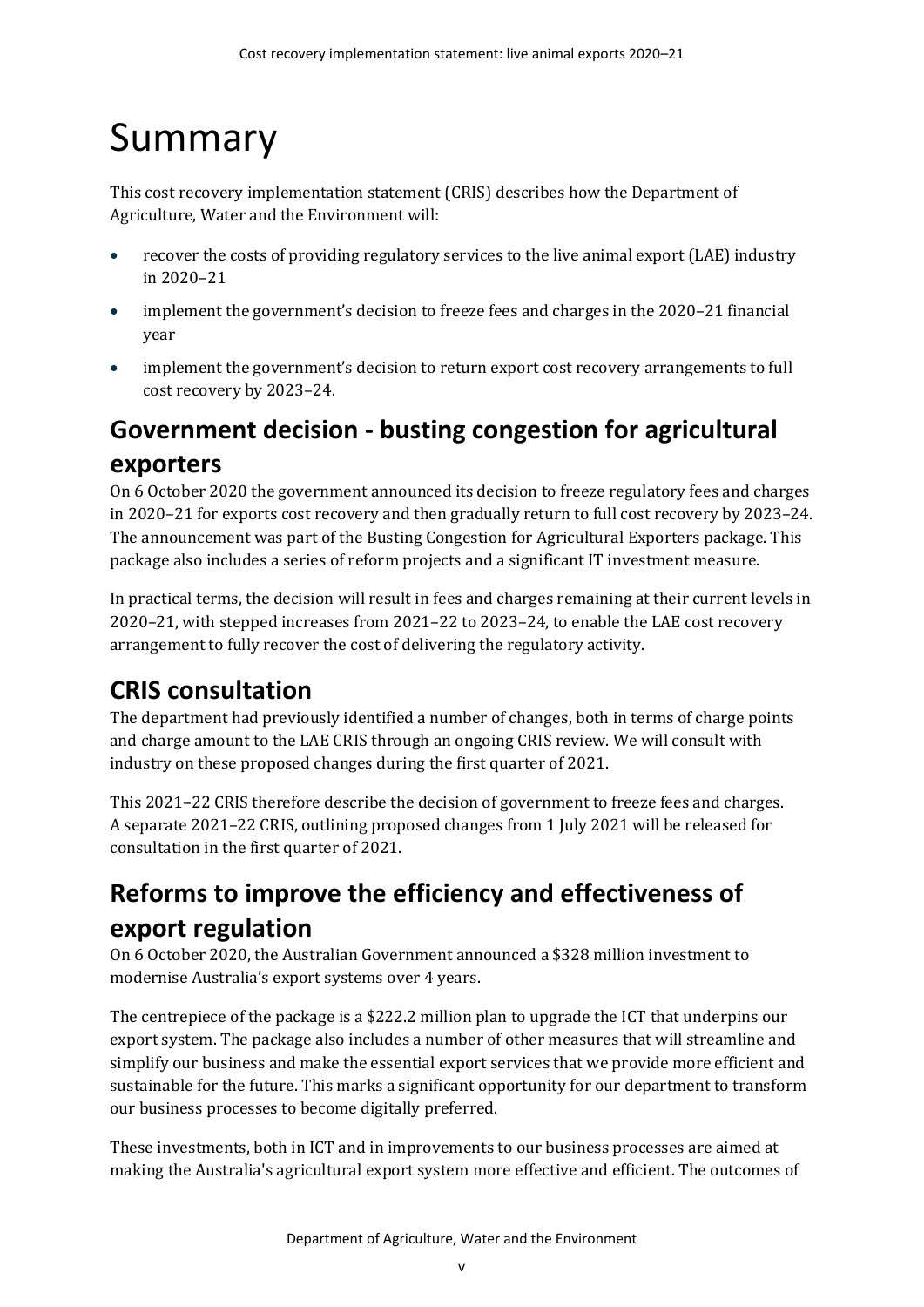# <span id="page-4-0"></span>Summary

This cost recovery implementation statement (CRIS) describes how the Department of Agriculture, Water and the Environment will:

- recover the costs of providing regulatory services to the live animal export (LAE) industry in 2020–21
- implement the government's decision to freeze fees and charges in the 2020–21 financial year
- implement the government's decision to return export cost recovery arrangements to full cost recovery by 2023–24.

# <span id="page-4-1"></span>**Government decision - busting congestion for agricultural exporters**

On 6 October 2020 the government announced its decision to freeze regulatory fees and charges in 2020–21 for exports cost recovery and then gradually return to full cost recovery by 2023–24. The announcement was part of the Busting Congestion for Agricultural Exporters package. This package also includes a series of reform projects and a significant IT investment measure.

In practical terms, the decision will result in fees and charges remaining at their current levels in 2020–21, with stepped increases from 2021–22 to 2023–24, to enable the LAE cost recovery arrangement to fully recover the cost of delivering the regulatory activity.

# <span id="page-4-2"></span>**CRIS consultation**

The department had previously identified a number of changes, both in terms of charge points and charge amount to the LAE CRIS through an ongoing CRIS review. We will consult with industry on these proposed changes during the first quarter of 2021.

This 2021–22 CRIS therefore describe the decision of government to freeze fees and charges. A separate 2021–22 CRIS, outlining proposed changes from 1 July 2021 will be released for consultation in the first quarter of 2021.

# <span id="page-4-3"></span>**Reforms to improve the efficiency and effectiveness of export regulation**

On 6 October 2020, the Australian Government announced a \$328 million investment to modernise Australia's export systems over 4 years.

The centrepiece of the package is a \$222.2 million plan to upgrade the ICT that underpins our export system. The package also includes a number of other measures that will streamline and simplify our business and make the essential export services that we provide more efficient and sustainable for the future. This marks a significant opportunity for our department to transform our business processes to become digitally preferred.

These investments, both in ICT and in improvements to our business processes are aimed at making the Australia's agricultural export system more effective and efficient. The outcomes of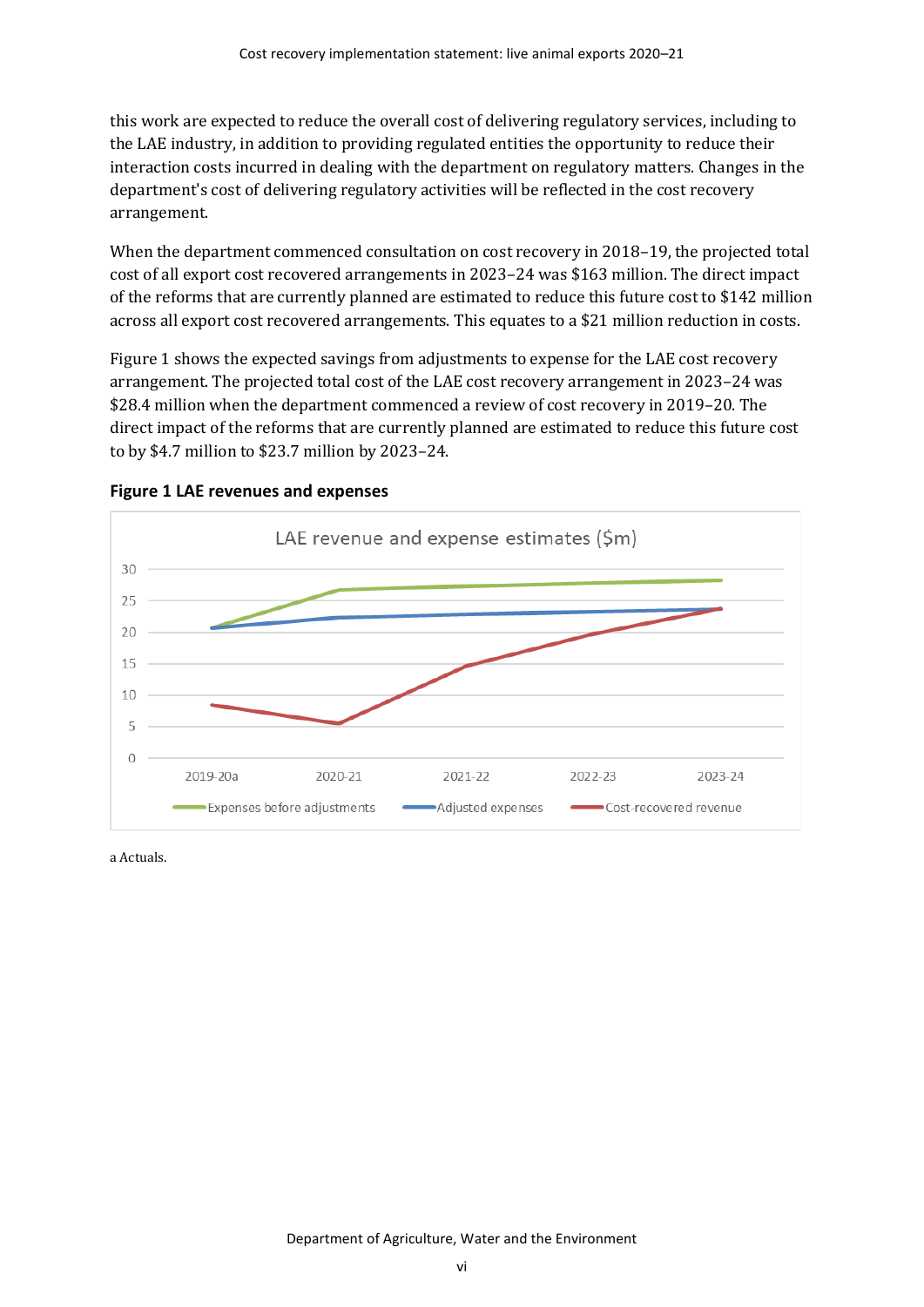this work are expected to reduce the overall cost of delivering regulatory services, including to the LAE industry, in addition to providing regulated entities the opportunity to reduce their interaction costs incurred in dealing with the department on regulatory matters. Changes in the department's cost of delivering regulatory activities will be reflected in the cost recovery arrangement.

When the department commenced consultation on cost recovery in 2018–19, the projected total cost of all export cost recovered arrangements in 2023–24 was \$163 million. The direct impact of the reforms that are currently planned are estimated to reduce this future cost to \$142 million across all export cost recovered arrangements. This equates to a \$21 million reduction in costs.

[Figure 1](#page-5-0) shows the expected savings from adjustments to expense for the LAE cost recovery arrangement. The projected total cost of the LAE cost recovery arrangement in 2023–24 was \$28.4 million when the department commenced a review of cost recovery in 2019–20. The direct impact of the reforms that are currently planned are estimated to reduce this future cost to by \$4.7 million to \$23.7 million by 2023–24.



<span id="page-5-0"></span>

a Actuals.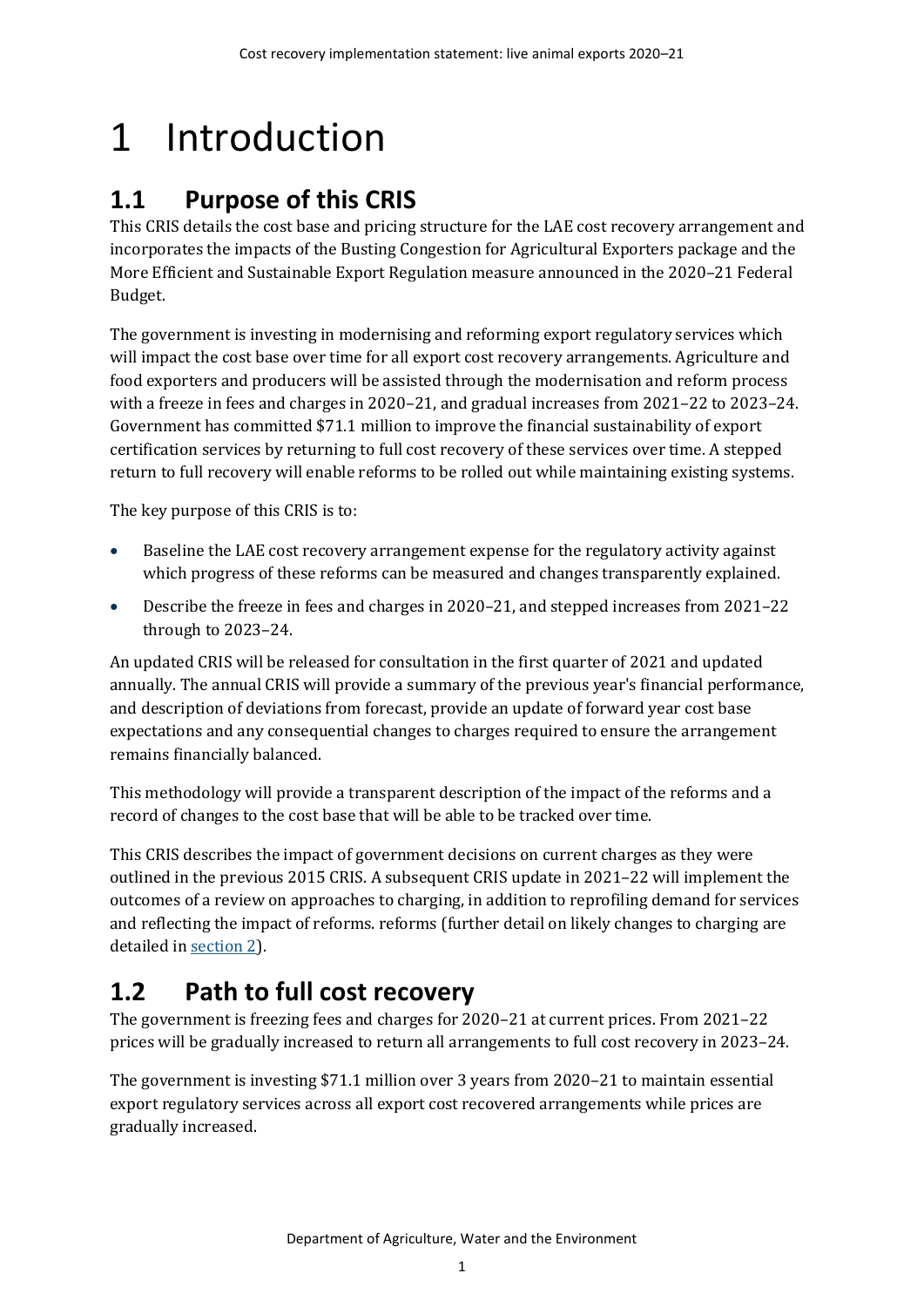# <span id="page-6-0"></span>1 Introduction

# <span id="page-6-1"></span>**1.1 Purpose of this CRIS**

This CRIS details the cost base and pricing structure for the LAE cost recovery arrangement and incorporates the impacts of the Busting Congestion for Agricultural Exporters package and the More Efficient and Sustainable Export Regulation measure announced in the 2020–21 Federal Budget.

The government is investing in modernising and reforming export regulatory services which will impact the cost base over time for all export cost recovery arrangements. Agriculture and food exporters and producers will be assisted through the modernisation and reform process with a freeze in fees and charges in 2020–21, and gradual increases from 2021–22 to 2023–24. Government has committed \$71.1 million to improve the financial sustainability of export certification services by returning to full cost recovery of these services over time. A stepped return to full recovery will enable reforms to be rolled out while maintaining existing systems.

The key purpose of this CRIS is to:

- Baseline the LAE cost recovery arrangement expense for the regulatory activity against which progress of these reforms can be measured and changes transparently explained.
- Describe the freeze in fees and charges in 2020–21, and stepped increases from 2021–22 through to 2023–24.

An updated CRIS will be released for consultation in the first quarter of 2021 and updated annually. The annual CRIS will provide a summary of the previous year's financial performance, and description of deviations from forecast, provide an update of forward year cost base expectations and any consequential changes to charges required to ensure the arrangement remains financially balanced.

This methodology will provide a transparent description of the impact of the reforms and a record of changes to the cost base that will be able to be tracked over time.

This CRIS describes the impact of government decisions on current charges as they were outlined in the previous 2015 CRIS. A subsequent CRIS update in 2021–22 will implement the outcomes of a review on approaches to charging, in addition to reprofiling demand for services and reflecting the impact of reforms. reforms (further detail on likely changes to charging are detailed in [section](#page-8-0) 2).

# <span id="page-6-2"></span>**1.2 Path to full cost recovery**

The government is freezing fees and charges for 2020–21 at current prices. From 2021–22 prices will be gradually increased to return all arrangements to full cost recovery in 2023–24.

The government is investing \$71.1 million over 3 years from 2020–21 to maintain essential export regulatory services across all export cost recovered arrangements while prices are gradually increased.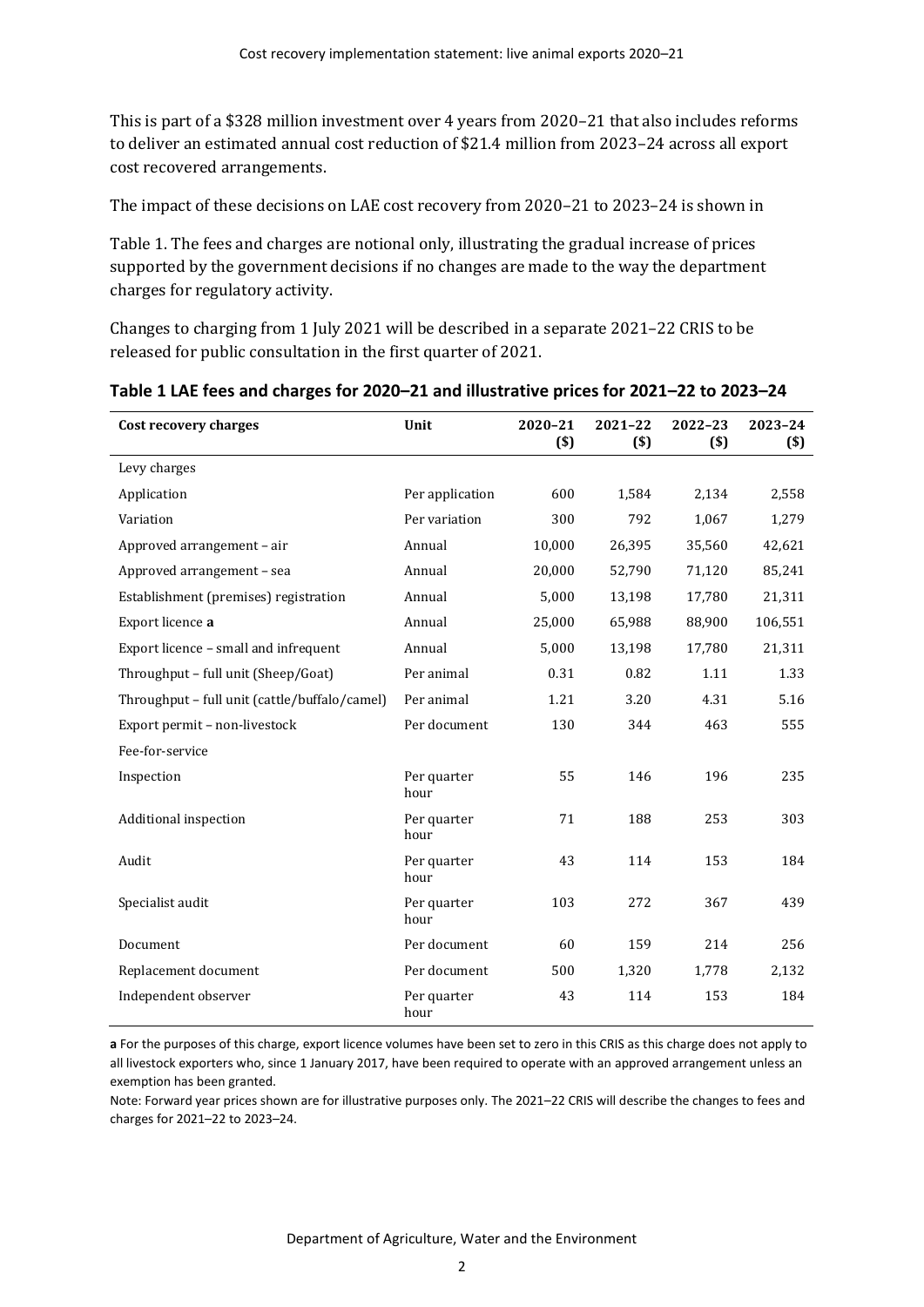This is part of a \$328 million investment over 4 years from 2020–21 that also includes reforms to deliver an estimated annual cost reduction of \$21.4 million from 2023–24 across all export cost recovered arrangements.

The impact of these decisions on LAE cost recovery from 2020–21 to 2023–24 is shown i[n](#page-7-1) 

[Table 1.](#page-7-1) The fees and charges are notional only, illustrating the gradual increase of prices supported by the government decisions if no changes are made to the way the department charges for regulatory activity.

<span id="page-7-1"></span>Changes to charging from 1 July 2021 will be described in a separate 2021–22 CRIS to be released for public consultation in the first quarter of 2021.

| Cost recovery charges                         | Unit                | 2020-21<br>$(s)$ | 2021-22<br>$($)$ | $2022 - 23$<br>$($)$ | 2023-24<br>$($)$ |
|-----------------------------------------------|---------------------|------------------|------------------|----------------------|------------------|
| Levy charges                                  |                     |                  |                  |                      |                  |
| Application                                   | Per application     | 600              | 1,584            | 2,134                | 2,558            |
| Variation                                     | Per variation       | 300              | 792              | 1,067                | 1,279            |
| Approved arrangement - air                    | Annual              | 10,000           | 26,395           | 35,560               | 42,621           |
| Approved arrangement - sea                    | Annual              | 20,000           | 52,790           | 71,120               | 85,241           |
| Establishment (premises) registration         | Annual              | 5,000            | 13,198           | 17,780               | 21,311           |
| Export licence a                              | Annual              | 25,000           | 65,988           | 88,900               | 106,551          |
| Export licence - small and infrequent         | Annual              | 5,000            | 13,198           | 17,780               | 21,311           |
| Throughput - full unit (Sheep/Goat)           | Per animal          | 0.31             | 0.82             | 1.11                 | 1.33             |
| Throughput - full unit (cattle/buffalo/camel) | Per animal          | 1.21             | 3.20             | 4.31                 | 5.16             |
| Export permit - non-livestock                 | Per document        | 130              | 344              | 463                  | 555              |
| Fee-for-service                               |                     |                  |                  |                      |                  |
| Inspection                                    | Per quarter<br>hour | 55               | 146              | 196                  | 235              |
| Additional inspection                         | Per quarter<br>hour | 71               | 188              | 253                  | 303              |
| Audit                                         | Per quarter<br>hour | 43               | 114              | 153                  | 184              |
| Specialist audit                              | Per quarter<br>hour | 103              | 272              | 367                  | 439              |
| Document                                      | Per document        | 60               | 159              | 214                  | 256              |
| Replacement document                          | Per document        | 500              | 1,320            | 1,778                | 2,132            |
| Independent observer                          | Per quarter<br>hour | 43               | 114              | 153                  | 184              |

#### <span id="page-7-0"></span>**Table 1 LAE fees and charges for 2020–21 and illustrative prices for 2021–22 to 2023–24**

**a** For the purposes of this charge, export licence volumes have been set to zero in this CRIS as this charge does not apply to all livestock exporters who, since 1 January 2017, have been required to operate with an approved arrangement unless an exemption has been granted.

Note: Forward year prices shown are for illustrative purposes only. The 2021–22 CRIS will describe the changes to fees and charges for 2021–22 to 2023–24.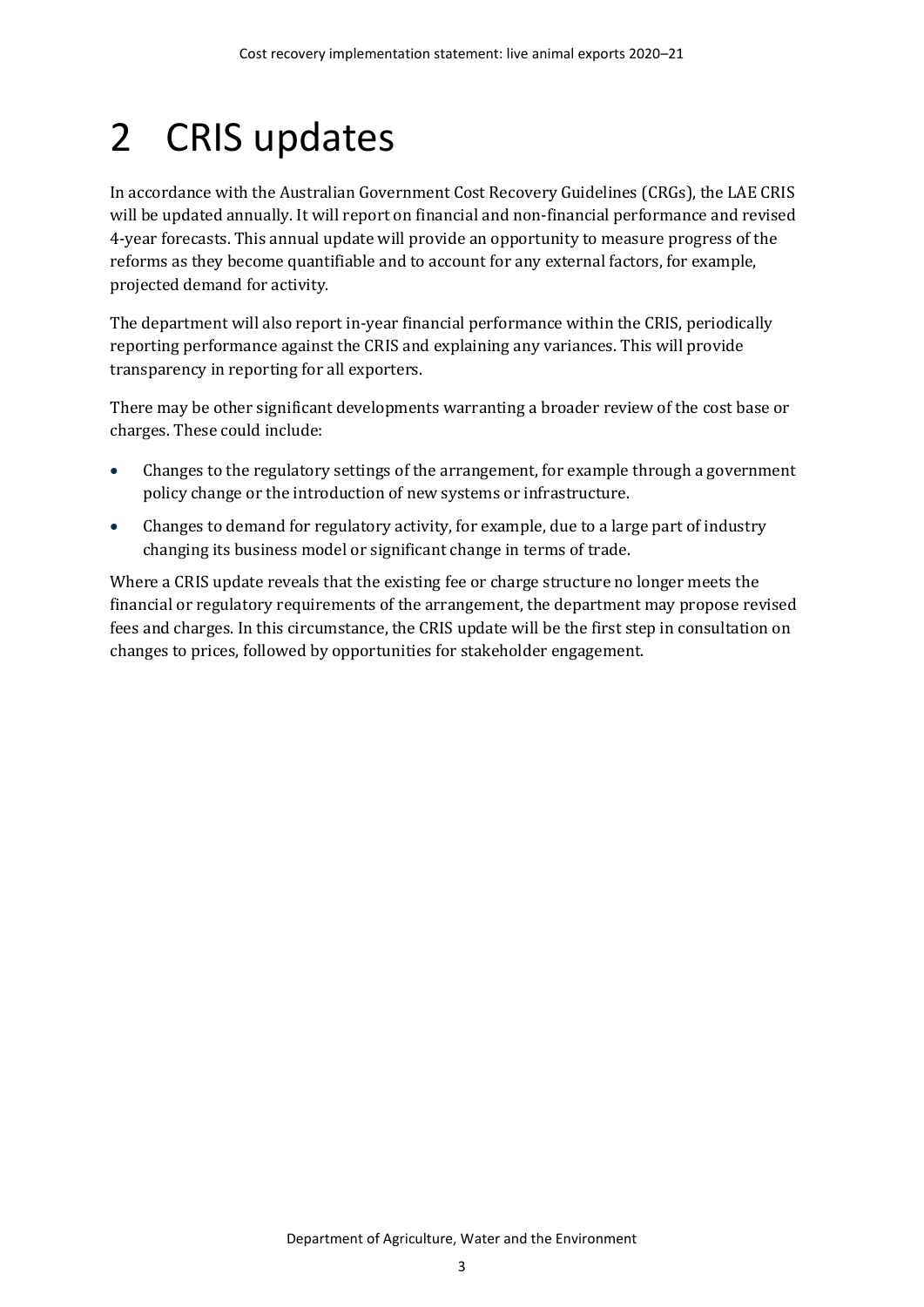# <span id="page-8-0"></span>2 CRIS updates

In accordance with the Australian Government Cost Recovery Guidelines (CRGs), the LAE CRIS will be updated annually. It will report on financial and non-financial performance and revised 4-year forecasts. This annual update will provide an opportunity to measure progress of the reforms as they become quantifiable and to account for any external factors, for example, projected demand for activity.

The department will also report in-year financial performance within the CRIS, periodically reporting performance against the CRIS and explaining any variances. This will provide transparency in reporting for all exporters.

There may be other significant developments warranting a broader review of the cost base or charges. These could include:

- Changes to the regulatory settings of the arrangement, for example through a government policy change or the introduction of new systems or infrastructure.
- Changes to demand for regulatory activity, for example, due to a large part of industry changing its business model or significant change in terms of trade.

Where a CRIS update reveals that the existing fee or charge structure no longer meets the financial or regulatory requirements of the arrangement, the department may propose revised fees and charges. In this circumstance, the CRIS update will be the first step in consultation on changes to prices, followed by opportunities for stakeholder engagement.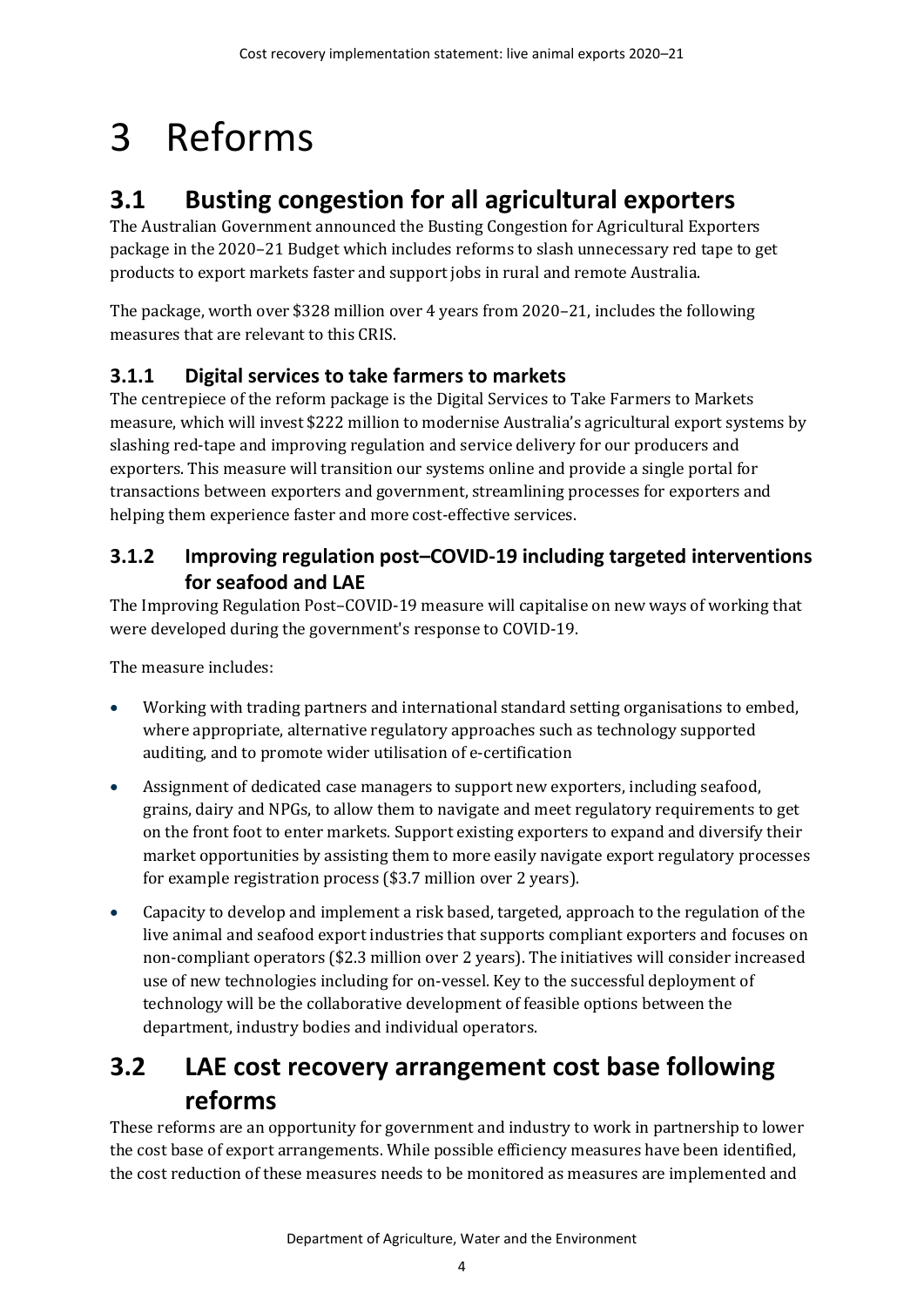# <span id="page-9-0"></span>3 Reforms

# <span id="page-9-1"></span>**3.1 Busting congestion for all agricultural exporters**

The Australian Government announced the Busting Congestion for Agricultural Exporters package in the 2020–21 Budget which includes reforms to slash unnecessary red tape to get products to export markets faster and support jobs in rural and remote Australia.

The package, worth over \$328 million over 4 years from 2020–21, includes the following measures that are relevant to this CRIS.

## **3.1.1 Digital services to take farmers to markets**

The centrepiece of the reform package is the Digital Services to Take Farmers to Markets measure, which will invest \$222 million to modernise Australia's agricultural export systems by slashing red-tape and improving regulation and service delivery for our producers and exporters. This measure will transition our systems online and provide a single portal for transactions between exporters and government, streamlining processes for exporters and helping them experience faster and more cost-effective services.

## **3.1.2 Improving regulation post–COVID-19 including targeted interventions for seafood and LAE**

The Improving Regulation Post–COVID-19 measure will capitalise on new ways of working that were developed during the government's response to COVID-19.

The measure includes:

- Working with trading partners and international standard setting organisations to embed, where appropriate, alternative regulatory approaches such as technology supported auditing, and to promote wider utilisation of e-certification
- Assignment of dedicated case managers to support new exporters, including seafood, grains, dairy and NPGs, to allow them to navigate and meet regulatory requirements to get on the front foot to enter markets. Support existing exporters to expand and diversify their market opportunities by assisting them to more easily navigate export regulatory processes for example registration process (\$3.7 million over 2 years).
- Capacity to develop and implement a risk based, targeted, approach to the regulation of the live animal and seafood export industries that supports compliant exporters and focuses on non-compliant operators (\$2.3 million over 2 years). The initiatives will consider increased use of new technologies including for on-vessel. Key to the successful deployment of technology will be the collaborative development of feasible options between the department, industry bodies and individual operators.

# <span id="page-9-2"></span>**3.2 LAE cost recovery arrangement cost base following reforms**

These reforms are an opportunity for government and industry to work in partnership to lower the cost base of export arrangements. While possible efficiency measures have been identified, the cost reduction of these measures needs to be monitored as measures are implemented and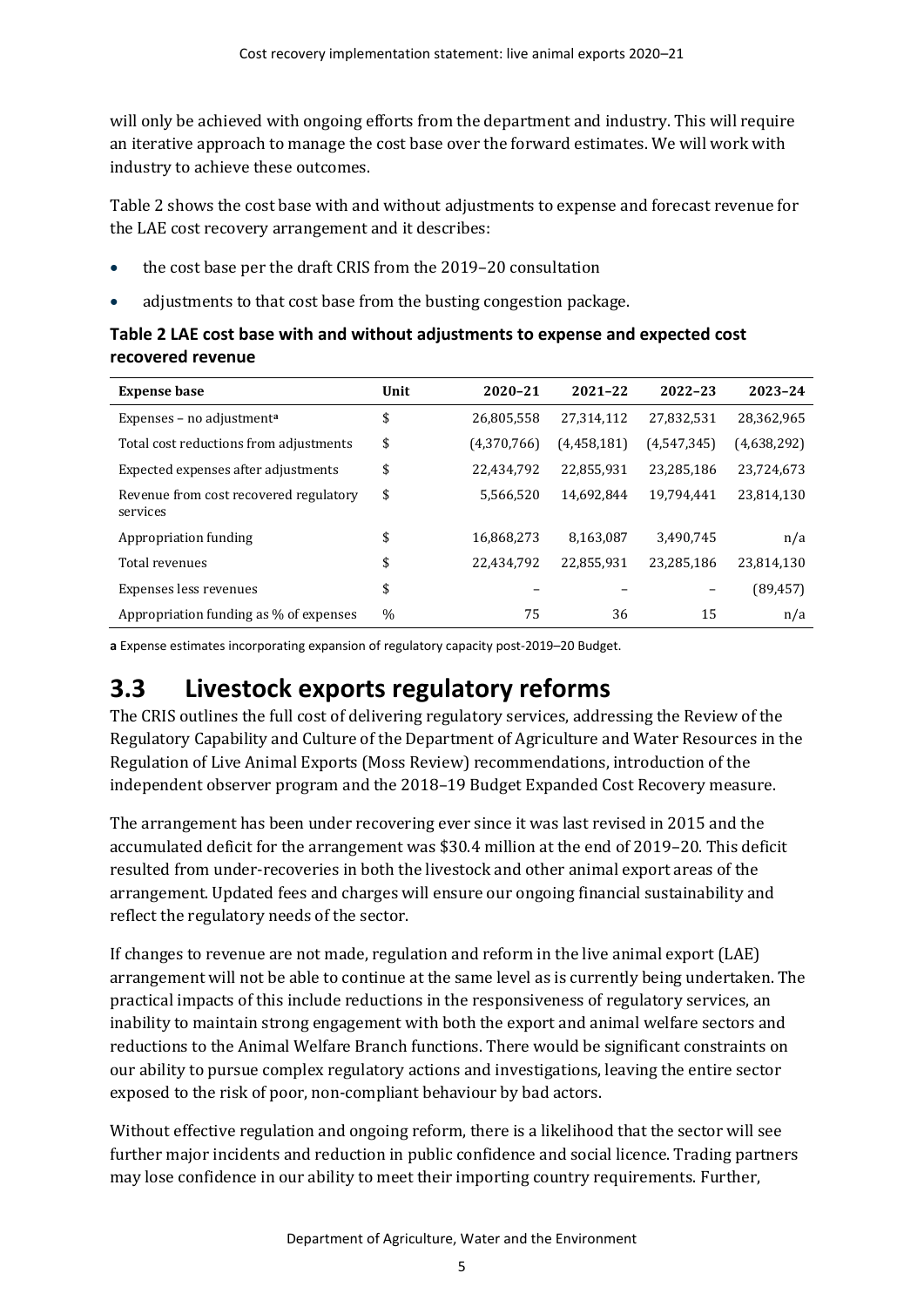will only be achieved with ongoing efforts from the department and industry. This will require an iterative approach to manage the cost base over the forward estimates. We will work with industry to achieve these outcomes.

[Table 2](#page-10-1) shows the cost base with and without adjustments to expense and forecast revenue for the LAE cost recovery arrangement and it describes:

- the cost base per the draft CRIS from the 2019–20 consultation
- adjustments to that cost base from the busting congestion package.

<span id="page-10-1"></span>

| Table 2 LAE cost base with and without adjustments to expense and expected cost |
|---------------------------------------------------------------------------------|
| recovered revenue                                                               |

| <b>Expense base</b>                                | Unit          | 2020-21     | $2021 - 22$ | 2022-23     | 2023-24     |
|----------------------------------------------------|---------------|-------------|-------------|-------------|-------------|
| Expenses - no adjustment <sup>a</sup>              | \$            | 26,805,558  | 27,314,112  | 27,832,531  | 28,362,965  |
| Total cost reductions from adjustments             | \$            | (4,370,766) | (4,458,181) | (4,547,345) | (4,638,292) |
| Expected expenses after adjustments                | \$            | 22,434,792  | 22,855,931  | 23,285,186  | 23,724,673  |
| Revenue from cost recovered regulatory<br>services | \$            | 5,566,520   | 14,692,844  | 19,794,441  | 23,814,130  |
| Appropriation funding                              | \$            | 16,868,273  | 8,163,087   | 3,490,745   | n/a         |
| Total revenues                                     | \$            | 22,434,792  | 22,855,931  | 23,285,186  | 23,814,130  |
| Expenses less revenues                             | \$            |             |             | -           | (89, 457)   |
| Appropriation funding as % of expenses             | $\frac{0}{0}$ | 75          | 36          | 15          | n/a         |

**a** Expense estimates incorporating expansion of regulatory capacity post-2019–20 Budget.

## <span id="page-10-0"></span>**3.3 Livestock exports regulatory reforms**

The CRIS outlines the full cost of delivering regulatory services, addressing the Review of the Regulatory Capability and Culture of the Department of Agriculture and Water Resources in the Regulation of Live Animal Exports (Moss Review) recommendations, introduction of the independent observer program and the 2018–19 Budget Expanded Cost Recovery measure.

The arrangement has been under recovering ever since it was last revised in 2015 and the accumulated deficit for the arrangement was \$30.4 million at the end of 2019–20. This deficit resulted from under-recoveries in both the livestock and other animal export areas of the arrangement. Updated fees and charges will ensure our ongoing financial sustainability and reflect the regulatory needs of the sector.

If changes to revenue are not made, regulation and reform in the live animal export (LAE) arrangement will not be able to continue at the same level as is currently being undertaken. The practical impacts of this include reductions in the responsiveness of regulatory services, an inability to maintain strong engagement with both the export and animal welfare sectors and reductions to the Animal Welfare Branch functions. There would be significant constraints on our ability to pursue complex regulatory actions and investigations, leaving the entire sector exposed to the risk of poor, non-compliant behaviour by bad actors.

Without effective regulation and ongoing reform, there is a likelihood that the sector will see further major incidents and reduction in public confidence and social licence. Trading partners may lose confidence in our ability to meet their importing country requirements. Further,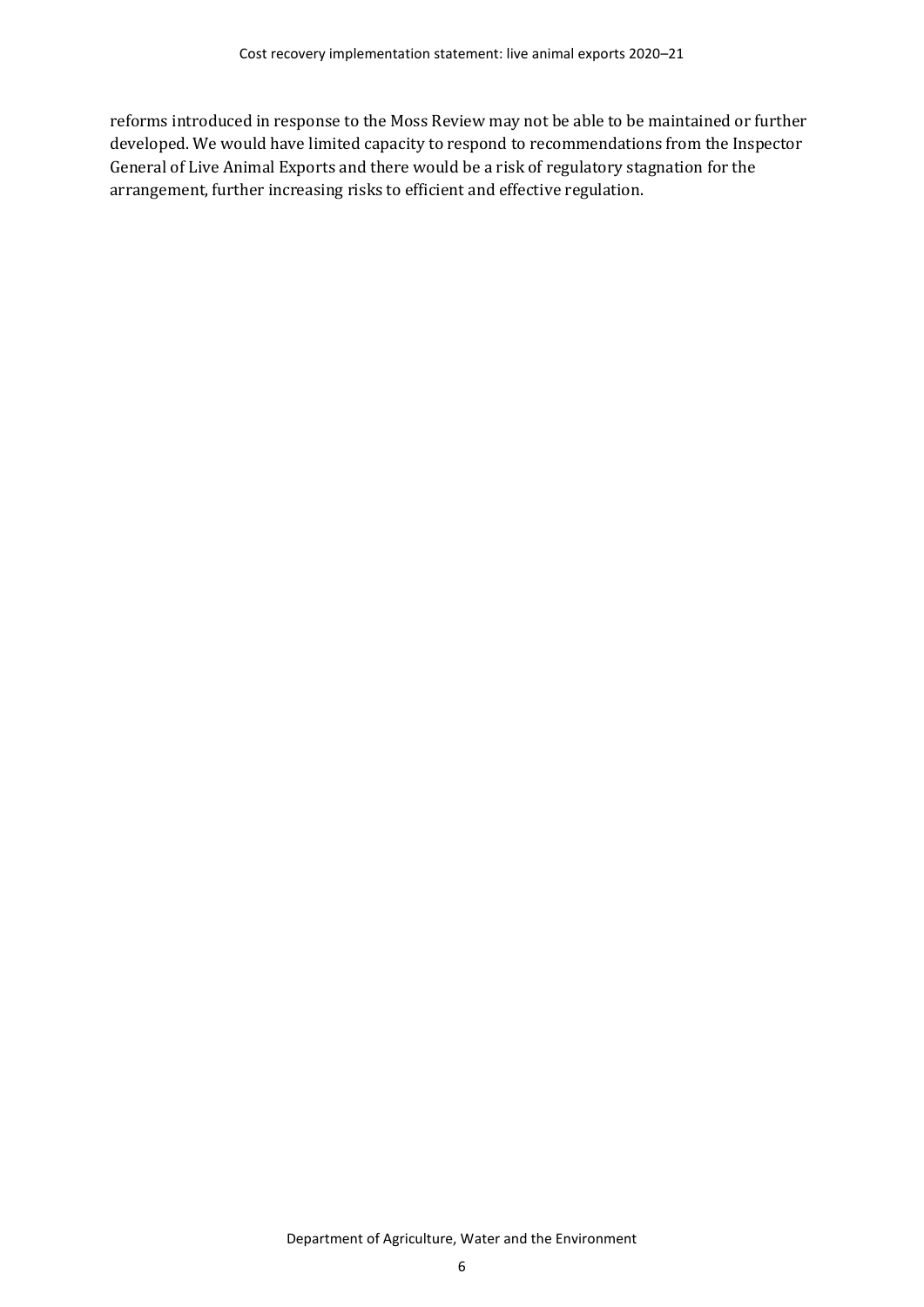reforms introduced in response to the Moss Review may not be able to be maintained or further developed. We would have limited capacity to respond to recommendations from the Inspector General of Live Animal Exports and there would be a risk of regulatory stagnation for the arrangement, further increasing risks to efficient and effective regulation.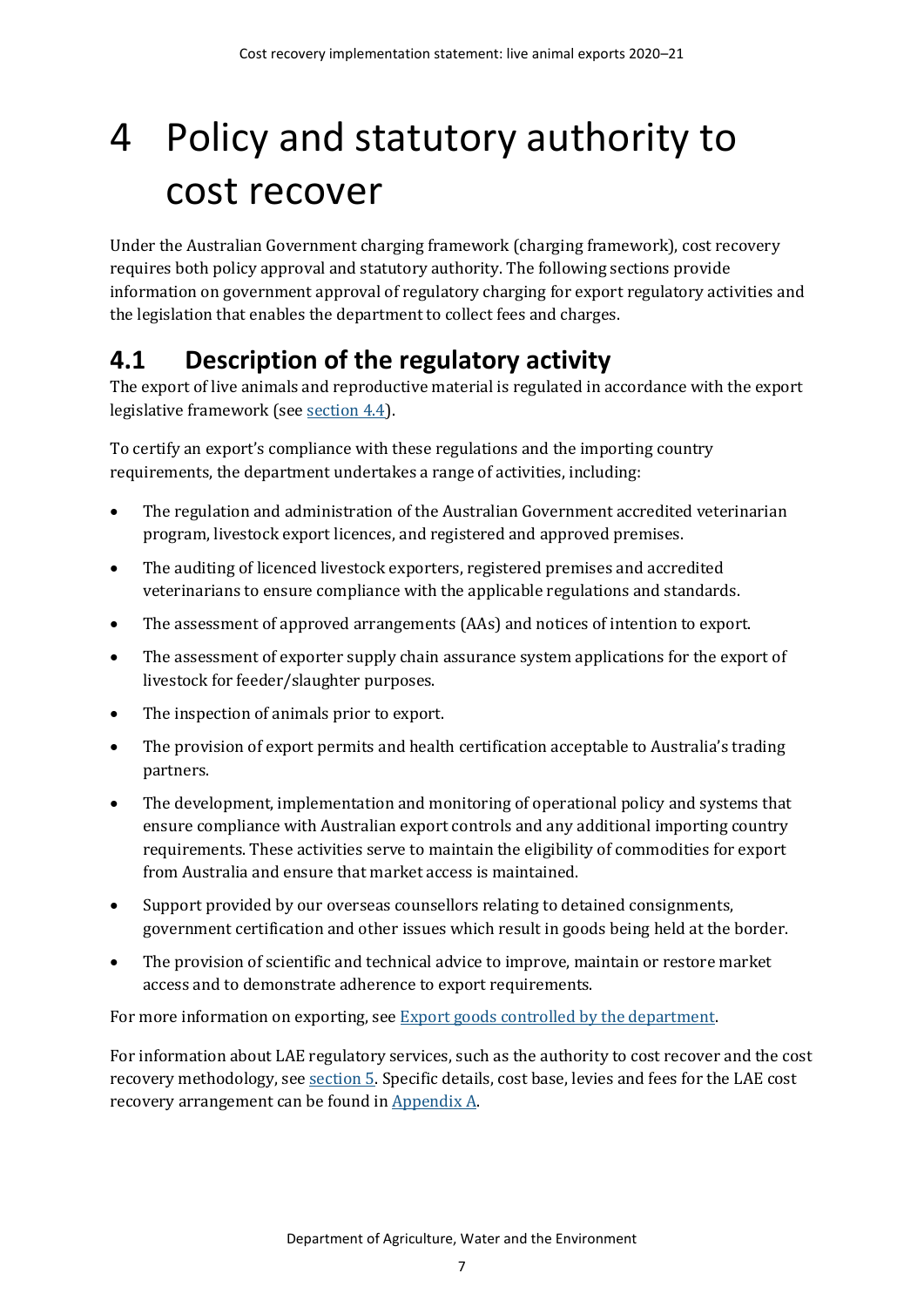# <span id="page-12-0"></span>4 Policy and statutory authority to cost recover

Under the Australian Government charging framework (charging framework), cost recovery requires both policy approval and statutory authority. The following sections provide information on government approval of regulatory charging for export regulatory activities and the legislation that enables the department to collect fees and charges.

# <span id="page-12-1"></span>**4.1 Description of the regulatory activity**

The export of live animals and reproductive material is regulated in accordance with the export legislative framework (see [section 4.4\)](#page-13-2).

To certify an export's compliance with these regulations and the importing country requirements, the department undertakes a range of activities, including:

- The regulation and administration of the Australian Government accredited veterinarian program, livestock export licences, and registered and approved premises.
- The auditing of licenced livestock exporters, registered premises and accredited veterinarians to ensure compliance with the applicable regulations and standards.
- The assessment of approved arrangements (AAs) and notices of intention to export.
- The assessment of exporter supply chain assurance system applications for the export of livestock for feeder/slaughter purposes.
- The inspection of animals prior to export.
- The provision of export permits and health certification acceptable to Australia's trading partners.
- The development, implementation and monitoring of operational policy and systems that ensure compliance with Australian export controls and any additional importing country requirements. These activities serve to maintain the eligibility of commodities for export from Australia and ensure that market access is maintained.
- Support provided by our overseas counsellors relating to detained consignments, government certification and other issues which result in goods being held at the border.
- The provision of scientific and technical advice to improve, maintain or restore market access and to demonstrate adherence to export requirements.

For more information on exporting, see **Export goods controlled by the department**.

For information about LAE regulatory services, such as the authority to cost recover and the cost recovery methodology, se[e section 5.](#page-15-0) Specific details, cost base, levies and fees for the LAE cost recovery arrangement can be found i[n Appendix A.](#page-30-0)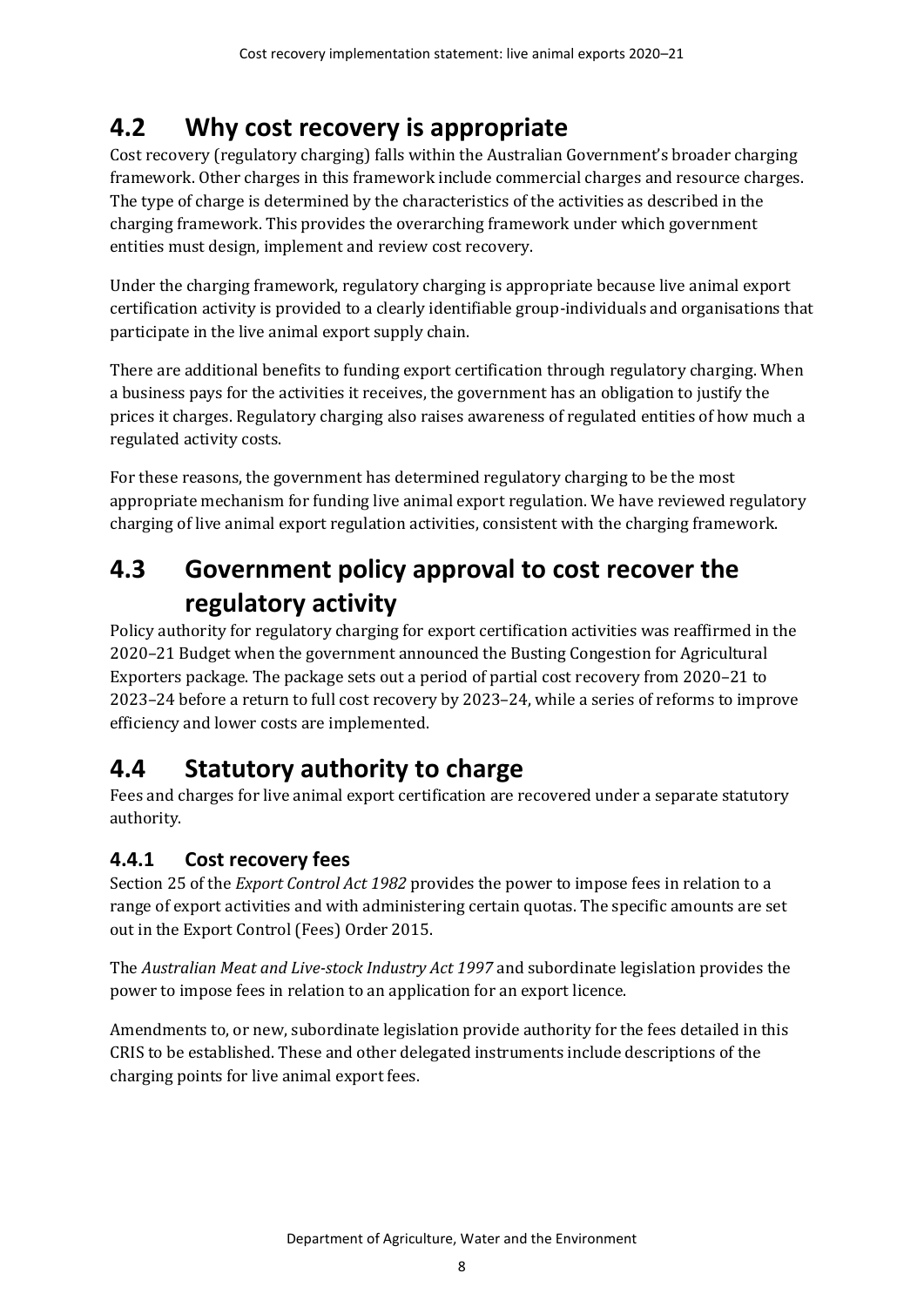# <span id="page-13-0"></span>**4.2 Why cost recovery is appropriate**

Cost recovery (regulatory charging) falls within the Australian Government's broader charging framework. Other charges in this framework include commercial charges and resource charges. The type of charge is determined by the characteristics of the activities as described in the charging framework. This provides the overarching framework under which government entities must design, implement and review cost recovery.

Under the charging framework, regulatory charging is appropriate because live animal export certification activity is provided to a clearly identifiable group-individuals and organisations that participate in the live animal export supply chain.

There are additional benefits to funding export certification through regulatory charging. When a business pays for the activities it receives, the government has an obligation to justify the prices it charges. Regulatory charging also raises awareness of regulated entities of how much a regulated activity costs.

For these reasons, the government has determined regulatory charging to be the most appropriate mechanism for funding live animal export regulation. We have reviewed regulatory charging of live animal export regulation activities, consistent with the charging framework.

# <span id="page-13-1"></span>**4.3 Government policy approval to cost recover the regulatory activity**

Policy authority for regulatory charging for export certification activities was reaffirmed in the 2020–21 Budget when the government announced the Busting Congestion for Agricultural Exporters package. The package sets out a period of partial cost recovery from 2020–21 to 2023–24 before a return to full cost recovery by 2023–24, while a series of reforms to improve efficiency and lower costs are implemented.

## <span id="page-13-2"></span>**4.4 Statutory authority to charge**

Fees and charges for live animal export certification are recovered under a separate statutory authority.

## **4.4.1 Cost recovery fees**

Section 25 of the *Export Control Act 1982* provides the power to impose fees in relation to a range of export activities and with administering certain quotas. The specific amounts are set out in the Export Control (Fees) Order 2015.

The *Australian Meat and Live-stock Industry Act 1997* and subordinate legislation provides the power to impose fees in relation to an application for an export licence.

Amendments to, or new, subordinate legislation provide authority for the fees detailed in this CRIS to be established. These and other delegated instruments include descriptions of the charging points for live animal export fees.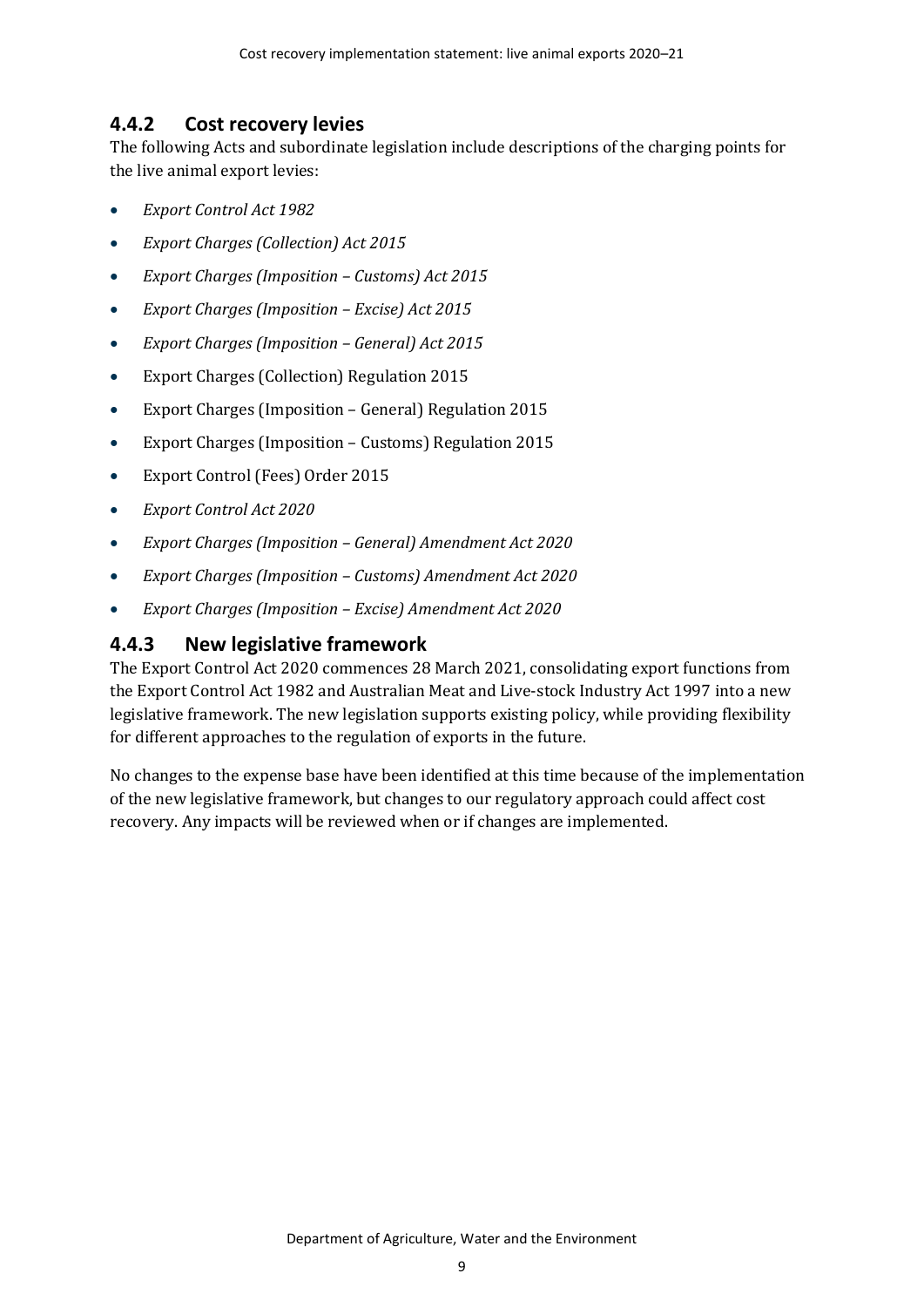### **4.4.2 Cost recovery levies**

The following Acts and subordinate legislation include descriptions of the charging points for the live animal export levies:

- *Export Control Act 1982*
- *Export Charges (Collection) Act 2015*
- *Export Charges (Imposition – Customs) Act 2015*
- *Export Charges (Imposition – Excise) Act 2015*
- *Export Charges (Imposition – General) Act 2015*
- Export Charges (Collection) Regulation 2015
- Export Charges (Imposition General) Regulation 2015
- Export Charges (Imposition Customs) Regulation 2015
- Export Control (Fees) Order 2015
- *Export Control Act 2020*
- *Export Charges (Imposition – General) Amendment Act 2020*
- *Export Charges (Imposition – Customs) Amendment Act 2020*
- *Export Charges (Imposition – Excise) Amendment Act 2020*

### **4.4.3 New legislative framework**

The Export Control Act 2020 commences 28 March 2021, consolidating export functions from the Export Control Act 1982 and Australian Meat and Live-stock Industry Act 1997 into a new legislative framework. The new legislation supports existing policy, while providing flexibility for different approaches to the regulation of exports in the future.

No changes to the expense base have been identified at this time because of the implementation of the new legislative framework, but changes to our regulatory approach could affect cost recovery. Any impacts will be reviewed when or if changes are implemented.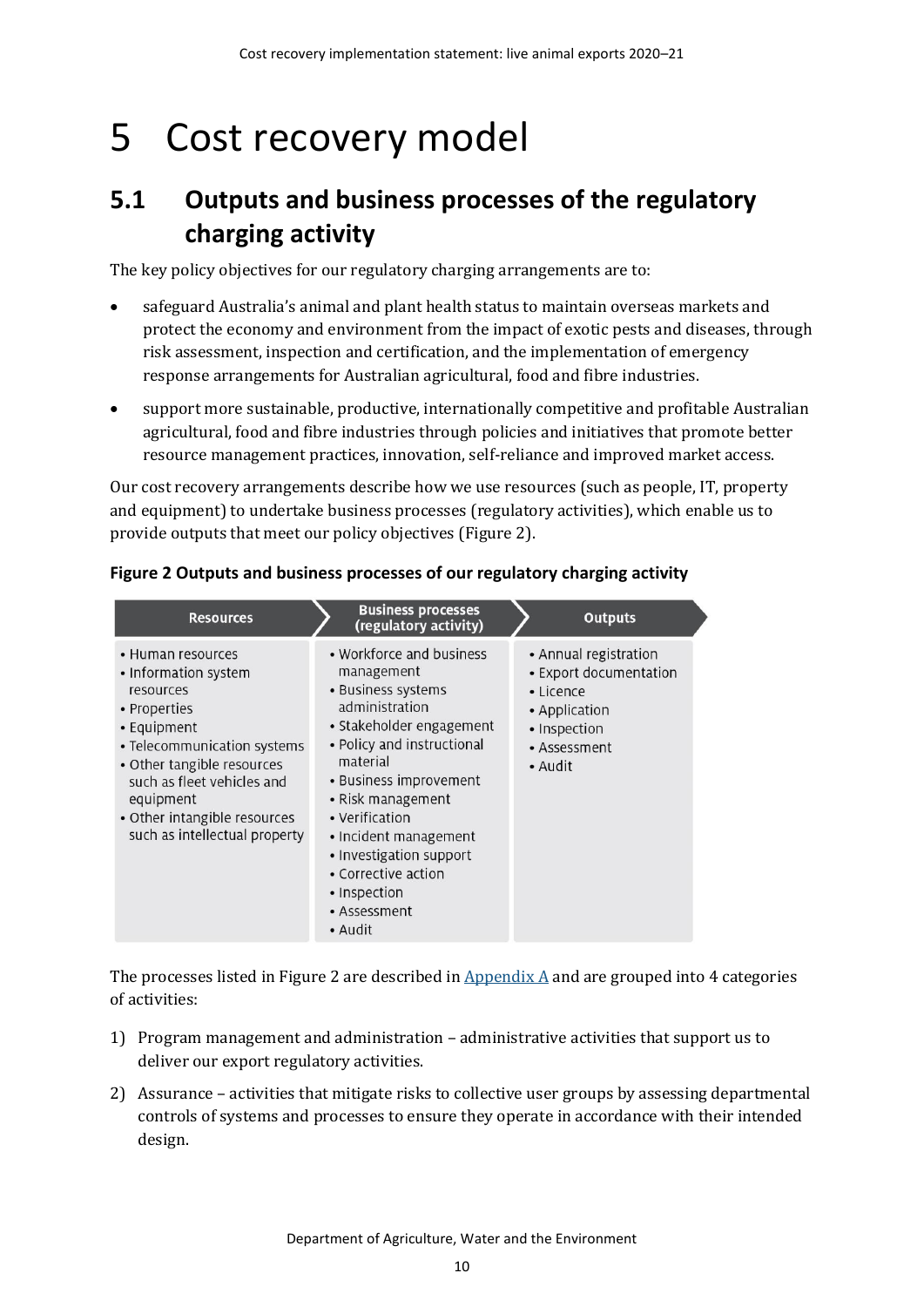# <span id="page-15-0"></span>5 Cost recovery model

# <span id="page-15-1"></span>**5.1 Outputs and business processes of the regulatory charging activity**

The key policy objectives for our regulatory charging arrangements are to:

- safeguard Australia's animal and plant health status to maintain overseas markets and protect the economy and environment from the impact of exotic pests and diseases, through risk assessment, inspection and certification, and the implementation of emergency response arrangements for Australian agricultural, food and fibre industries.
- support more sustainable, productive, internationally competitive and profitable Australian agricultural, food and fibre industries through policies and initiatives that promote better resource management practices, innovation, self-reliance and improved market access.

Our cost recovery arrangements describe how we use resources (such as people, IT, property and equipment) to undertake business processes (regulatory activities), which enable us to provide outputs that meet our policy objectives [\(Figure 2\)](#page-15-2).

| <b>Resources</b>                                                                                                                                                                                                                                               | <b>Business processes</b><br>(regulatory activity)                                                                                                                                                                                                                                                                                          | <b>Outputs</b>                                                                                                                 |
|----------------------------------------------------------------------------------------------------------------------------------------------------------------------------------------------------------------------------------------------------------------|---------------------------------------------------------------------------------------------------------------------------------------------------------------------------------------------------------------------------------------------------------------------------------------------------------------------------------------------|--------------------------------------------------------------------------------------------------------------------------------|
| • Human resources<br>• Information system<br>resources<br>• Properties<br>• Equipment<br>• Telecommunication systems<br>• Other tangible resources<br>such as fleet vehicles and<br>equipment<br>• Other intangible resources<br>such as intellectual property | • Workforce and business<br>management<br>• Business systems<br>administration<br>• Stakeholder engagement<br>• Policy and instructional<br>material<br>• Business improvement<br>• Risk management<br>• Verification<br>• Incident management<br>• Investigation support<br>• Corrective action<br>• Inspection<br>• Assessment<br>• Audit | • Annual registration<br>• Export documentation<br>$\cdot$ Licence<br>• Application<br>• Inspection<br>• Assessment<br>• Audit |

### <span id="page-15-2"></span>**Figure 2 Outputs and business processes of our regulatory charging activity**

The processes listed in [Figure 2](#page-15-2) are described in  $\Delta$ ppendix  $\Delta$  and are grouped into 4 categories of activities:

- 1) Program management and administration administrative activities that support us to deliver our export regulatory activities.
- 2) Assurance activities that mitigate risks to collective user groups by assessing departmental controls of systems and processes to ensure they operate in accordance with their intended design.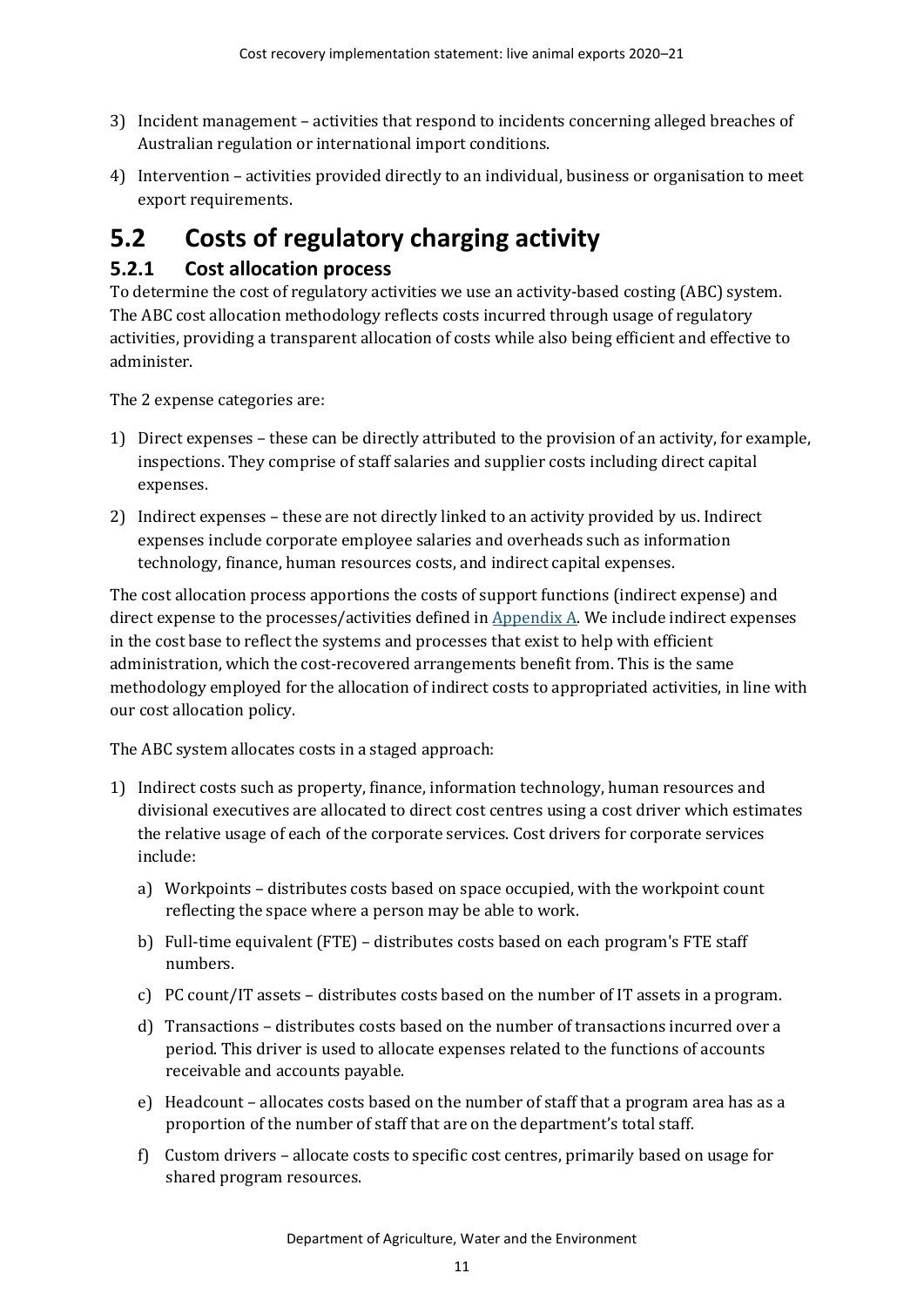- 3) Incident management activities that respond to incidents concerning alleged breaches of Australian regulation or international import conditions.
- 4) Intervention activities provided directly to an individual, business or organisation to meet export requirements.

# <span id="page-16-0"></span>**5.2 Costs of regulatory charging activity**

## **5.2.1 Cost allocation process**

To determine the cost of regulatory activities we use an activity-based costing (ABC) system. The ABC cost allocation methodology reflects costs incurred through usage of regulatory activities, providing a transparent allocation of costs while also being efficient and effective to administer.

The 2 expense categories are:

- 1) Direct expenses these can be directly attributed to the provision of an activity, for example, inspections. They comprise of staff salaries and supplier costs including direct capital expenses.
- 2) Indirect expenses these are not directly linked to an activity provided by us. Indirect expenses include corporate employee salaries and overheads such as information technology, finance, human resources costs, and indirect capital expenses.

The cost allocation process apportions the costs of support functions (indirect expense) and direct expense to the processes/activities defined in  $Appendix A$ . We include indirect expenses in the cost base to reflect the systems and processes that exist to help with efficient administration, which the cost-recovered arrangements benefit from. This is the same methodology employed for the allocation of indirect costs to appropriated activities, in line with our cost allocation policy.

The ABC system allocates costs in a staged approach:

- 1) Indirect costs such as property, finance, information technology, human resources and divisional executives are allocated to direct cost centres using a cost driver which estimates the relative usage of each of the corporate services. Cost drivers for corporate services include:
	- a) Workpoints distributes costs based on space occupied, with the workpoint count reflecting the space where a person may be able to work.
	- b) Full-time equivalent (FTE) distributes costs based on each program's FTE staff numbers.
	- c) PC count/IT assets distributes costs based on the number of IT assets in a program.
	- d) Transactions distributes costs based on the number of transactions incurred over a period. This driver is used to allocate expenses related to the functions of accounts receivable and accounts payable.
	- e) Headcount allocates costs based on the number of staff that a program area has as a proportion of the number of staff that are on the department's total staff.
	- f) Custom drivers allocate costs to specific cost centres, primarily based on usage for shared program resources.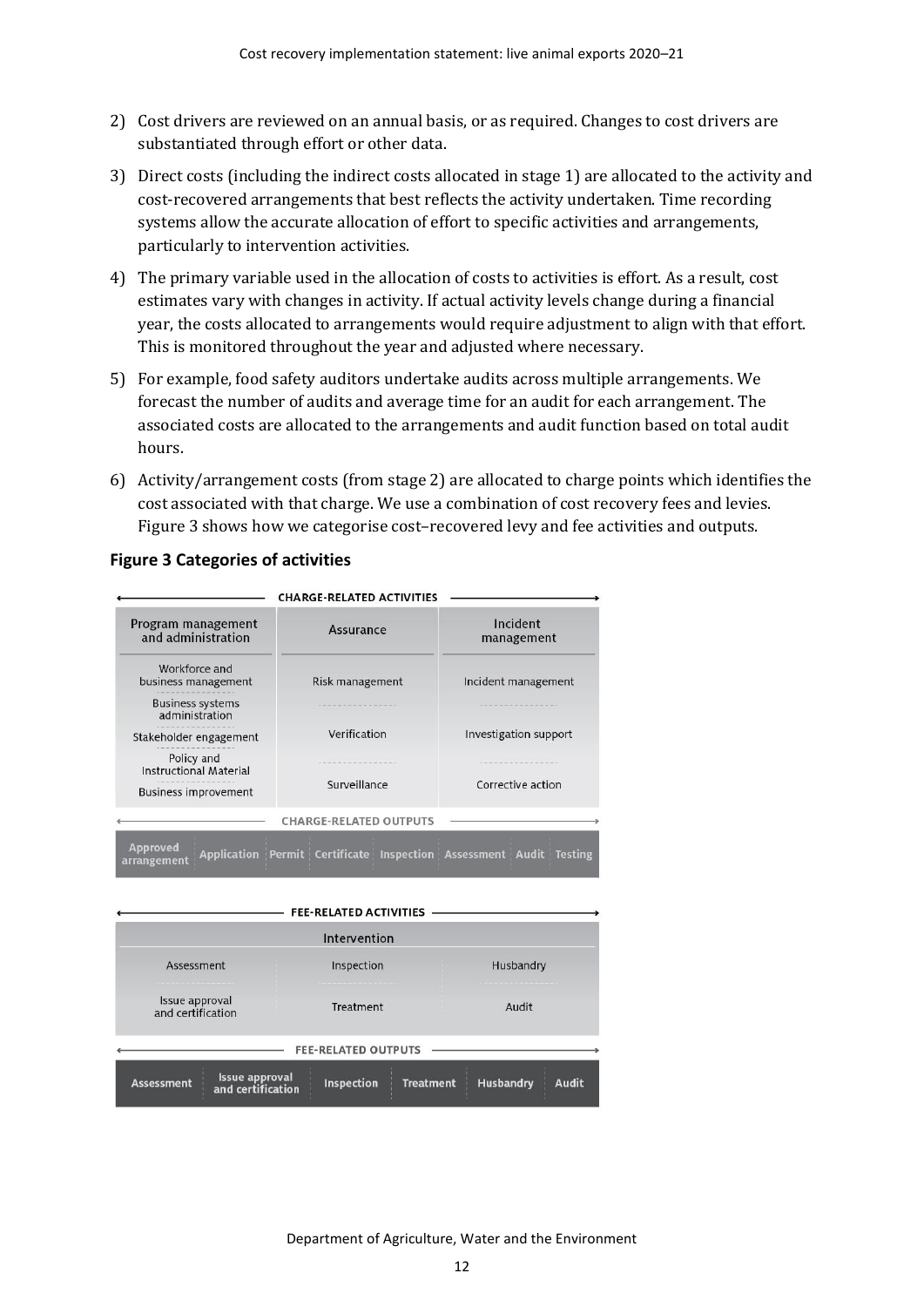- 2) Cost drivers are reviewed on an annual basis, or as required. Changes to cost drivers are substantiated through effort or other data.
- 3) Direct costs (including the indirect costs allocated in stage 1) are allocated to the activity and cost-recovered arrangements that best reflects the activity undertaken. Time recording systems allow the accurate allocation of effort to specific activities and arrangements, particularly to intervention activities.
- 4) The primary variable used in the allocation of costs to activities is effort. As a result, cost estimates vary with changes in activity. If actual activity levels change during a financial year, the costs allocated to arrangements would require adjustment to align with that effort. This is monitored throughout the year and adjusted where necessary.
- 5) For example, food safety auditors undertake audits across multiple arrangements. We forecast the number of audits and average time for an audit for each arrangement. The associated costs are allocated to the arrangements and audit function based on total audit hours.
- 6) Activity/arrangement costs (from stage 2) are allocated to charge points which identifies the cost associated with that charge. We use a combination of cost recovery fees and levies. [Figure 3](#page-17-0) shows how we categorise cost–recovered levy and fee activities and outputs.

#### **CHARGE-RELATED ACTIVITIES** Incident Program management Assurance and administration management Workforce and business management Risk management Incident management **Business systems** administration Verification Investigation support Stakeholder engagement Policy and **Instructional Material** Surveillance Corrective action **Business improvement CHARGE-RELATED OUTPUTS** Approved<br>arrangement Application Permit Certificate Inspection Assessment Audit Testing

### <span id="page-17-0"></span>**Figure 3 Categories of activities**

|                                                                 | <b>FEE-RELATED ACTIVITIES</b>  |                                  |
|-----------------------------------------------------------------|--------------------------------|----------------------------------|
|                                                                 | Intervention                   |                                  |
| Assessment                                                      | Husbandry                      |                                  |
| Issue approval<br>and certification                             | Treatment                      | Audit                            |
|                                                                 | <b>FEE-RELATED OUTPUTS</b>     |                                  |
| <b>Issue approval</b><br><b>Assessment</b><br>and certification | Inspection<br><b>Treatment</b> | <b>Husbandry</b><br><b>Audit</b> |

Department of Agriculture, Water and the Environment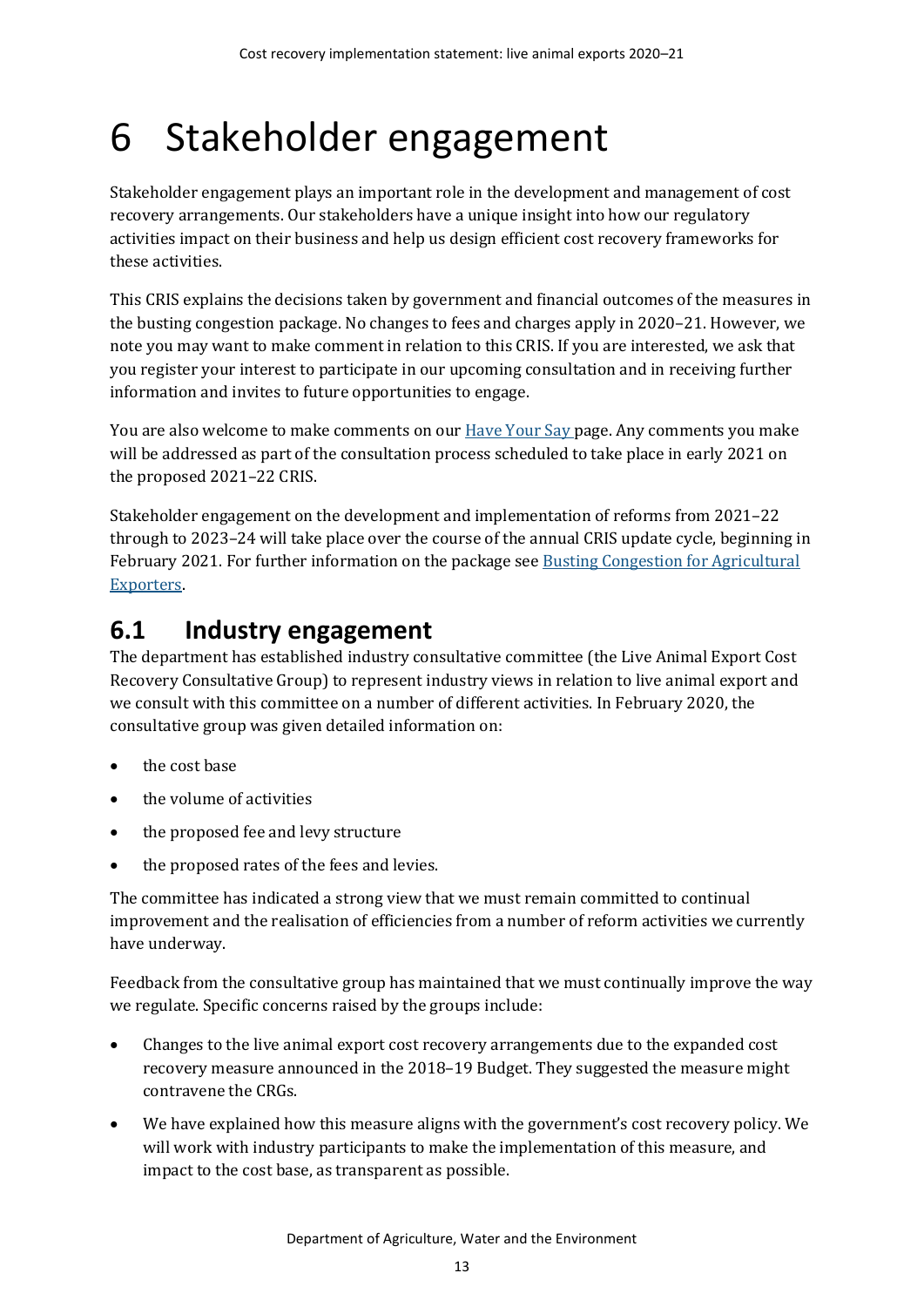# <span id="page-18-0"></span>6 Stakeholder engagement

Stakeholder engagement plays an important role in the development and management of cost recovery arrangements. Our stakeholders have a unique insight into how our regulatory activities impact on their business and help us design efficient cost recovery frameworks for these activities.

This CRIS explains the decisions taken by government and financial outcomes of the measures in the busting congestion package. No changes to fees and charges apply in 2020–21. However, we note you may want to make comment in relation to this CRIS. If you are interested, we ask that you register your interest to participate in our upcoming consultation and in receiving further information and invites to future opportunities to engage.

You are also welcome to make comments on our **Have Your Say page.** Any comments you make will be addressed as part of the consultation process scheduled to take place in early 2021 on the proposed 2021–22 CRIS.

Stakeholder engagement on the development and implementation of reforms from 2021–22 through to 2023–24 will take place over the course of the annual CRIS update cycle, beginning in February 2021. For further information on the package se[e Busting Congestion for Agricultural](https://minister.awe.gov.au/littleproud/media-releases/budget-2020-21-backing-farmers-supporting-disaster-recovery-protecting-australians)  [Exporters.](https://minister.awe.gov.au/littleproud/media-releases/budget-2020-21-backing-farmers-supporting-disaster-recovery-protecting-australians)

## <span id="page-18-1"></span>**6.1 Industry engagement**

The department has established industry consultative committee (the Live Animal Export Cost Recovery Consultative Group) to represent industry views in relation to live animal export and we consult with this committee on a number of different activities. In February 2020, the consultative group was given detailed information on:

- the cost base
- the volume of activities
- the proposed fee and levy structure
- the proposed rates of the fees and levies.

The committee has indicated a strong view that we must remain committed to continual improvement and the realisation of efficiencies from a number of reform activities we currently have underway.

Feedback from the consultative group has maintained that we must continually improve the way we regulate. Specific concerns raised by the groups include:

- Changes to the live animal export cost recovery arrangements due to the expanded cost recovery measure announced in the 2018–19 Budget. They suggested the measure might contravene the CRGs.
- We have explained how this measure aligns with the government's cost recovery policy. We will work with industry participants to make the implementation of this measure, and impact to the cost base, as transparent as possible.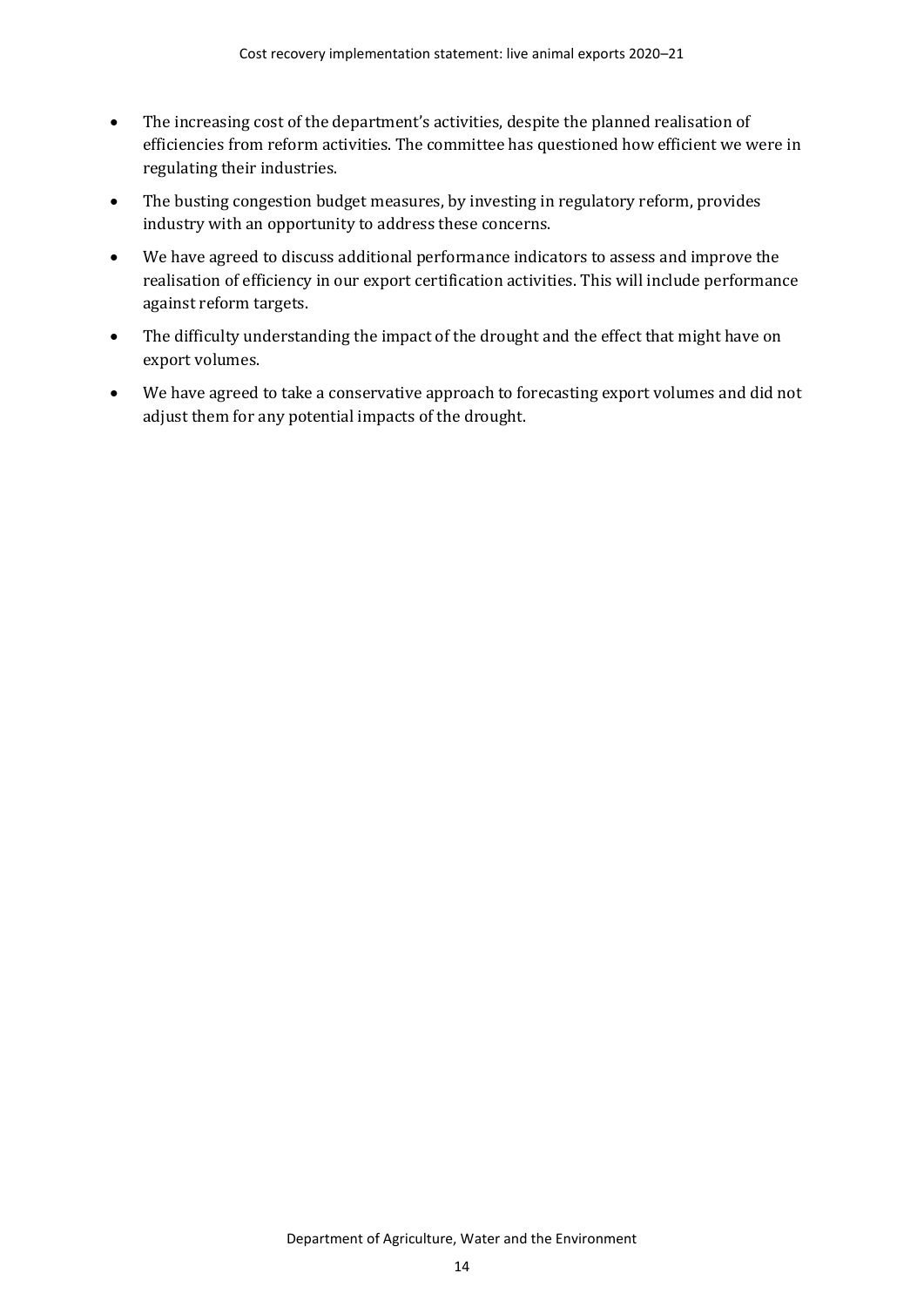- The increasing cost of the department's activities, despite the planned realisation of efficiencies from reform activities. The committee has questioned how efficient we were in regulating their industries.
- The busting congestion budget measures, by investing in regulatory reform, provides industry with an opportunity to address these concerns.
- We have agreed to discuss additional performance indicators to assess and improve the realisation of efficiency in our export certification activities. This will include performance against reform targets.
- The difficulty understanding the impact of the drought and the effect that might have on export volumes.
- We have agreed to take a conservative approach to forecasting export volumes and did not adjust them for any potential impacts of the drought.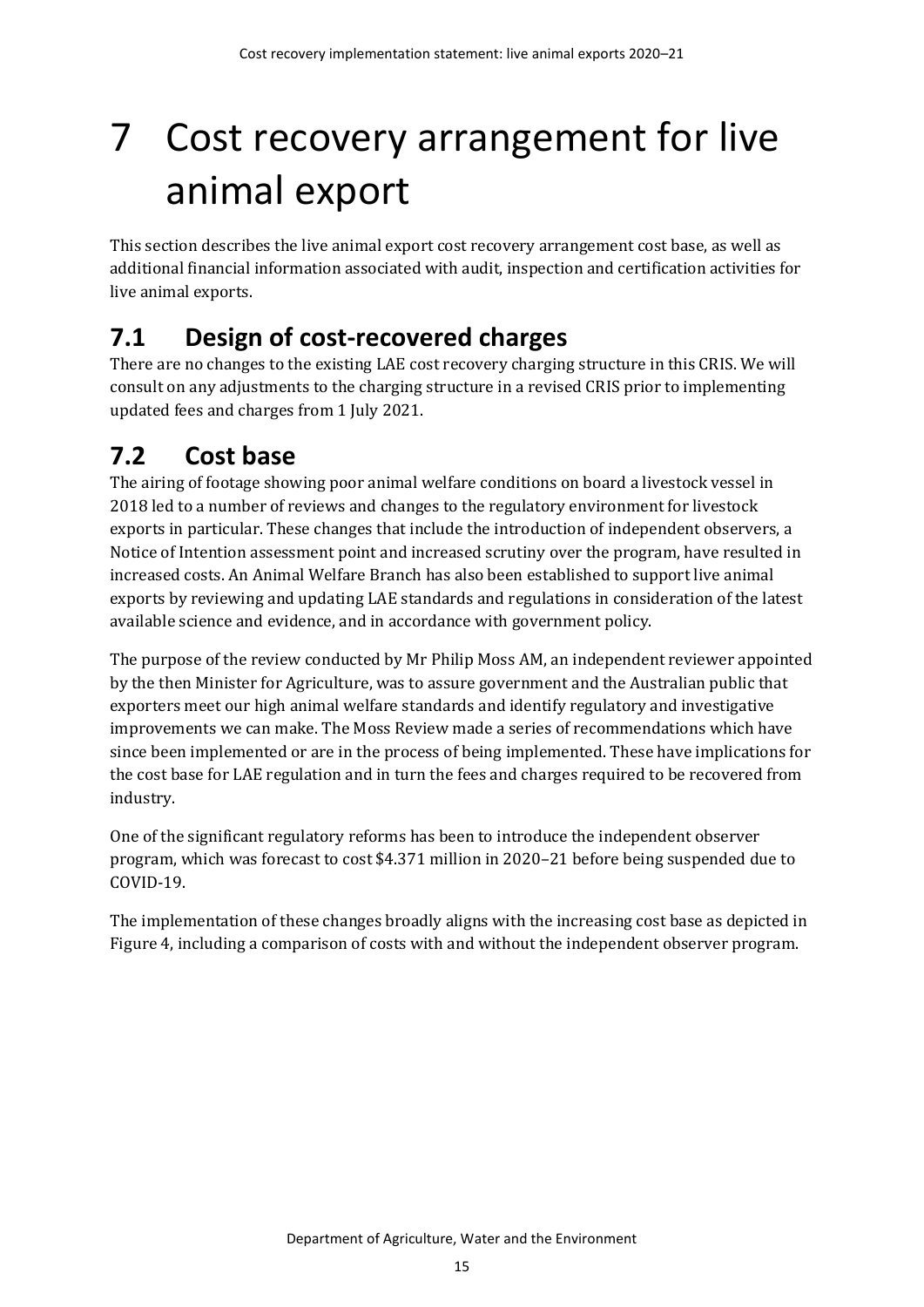# <span id="page-20-0"></span>7 Cost recovery arrangement for live animal export

This section describes the live animal export cost recovery arrangement cost base, as well as additional financial information associated with audit, inspection and certification activities for live animal exports.

# <span id="page-20-1"></span>**7.1 Design of cost-recovered charges**

There are no changes to the existing LAE cost recovery charging structure in this CRIS. We will consult on any adjustments to the charging structure in a revised CRIS prior to implementing updated fees and charges from 1 July 2021.

# <span id="page-20-2"></span>**7.2 Cost base**

The airing of footage showing poor animal welfare conditions on board a livestock vessel in 2018 led to a number of reviews and changes to the regulatory environment for livestock exports in particular. These changes that include the introduction of independent observers, a Notice of Intention assessment point and increased scrutiny over the program, have resulted in increased costs. An Animal Welfare Branch has also been established to support live animal exports by reviewing and updating LAE standards and regulations in consideration of the latest available science and evidence, and in accordance with government policy.

The purpose of the review conducted by Mr Philip Moss AM, an independent reviewer appointed by the then Minister for Agriculture, was to assure government and the Australian public that exporters meet our high animal welfare standards and identify regulatory and investigative improvements we can make. The Moss Review made a series of recommendations which have since been implemented or are in the process of being implemented. These have implications for the cost base for LAE regulation and in turn the fees and charges required to be recovered from industry.

One of the significant regulatory reforms has been to introduce the independent observer program, which was forecast to cost \$4.371 million in 2020–21 before being suspended due to COVID-19.

The implementation of these changes broadly aligns with the increasing cost base as depicted in [Figure 4,](#page-21-0) including a comparison of costs with and without the independent observer program.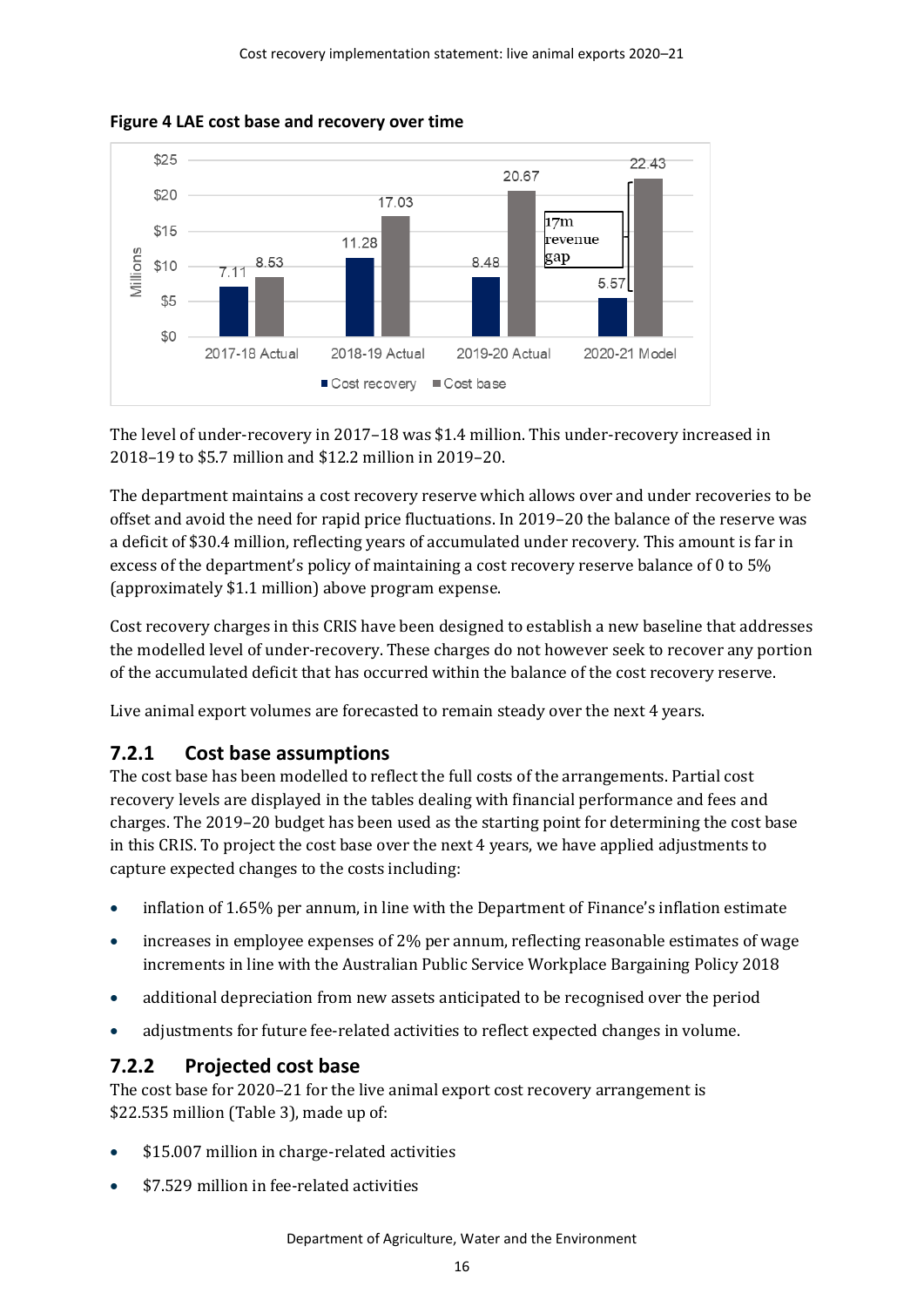<span id="page-21-0"></span>



The level of under-recovery in 2017–18 was \$1.4 million. This under-recovery increased in 2018–19 to \$5.7 million and \$12.2 million in 2019–20.

The department maintains a cost recovery reserve which allows over and under recoveries to be offset and avoid the need for rapid price fluctuations. In 2019–20 the balance of the reserve was a deficit of \$30.4 million, reflecting years of accumulated under recovery. This amount is far in excess of the department's policy of maintaining a cost recovery reserve balance of 0 to 5% (approximately \$1.1 million) above program expense.

Cost recovery charges in this CRIS have been designed to establish a new baseline that addresses the modelled level of under-recovery. These charges do not however seek to recover any portion of the accumulated deficit that has occurred within the balance of the cost recovery reserve.

Live animal export volumes are forecasted to remain steady over the next 4 years.

## **7.2.1 Cost base assumptions**

The cost base has been modelled to reflect the full costs of the arrangements. Partial cost recovery levels are displayed in the tables dealing with financial performance and fees and charges. The 2019–20 budget has been used as the starting point for determining the cost base in this CRIS. To project the cost base over the next 4 years, we have applied adjustments to capture expected changes to the costs including:

- inflation of 1.65% per annum, in line with the Department of Finance's inflation estimate
- increases in employee expenses of 2% per annum, reflecting reasonable estimates of wage increments in line with the Australian Public Service Workplace Bargaining Policy 2018
- additional depreciation from new assets anticipated to be recognised over the period
- adjustments for future fee-related activities to reflect expected changes in volume.

## **7.2.2 Projected cost base**

The cost base for 2020–21 for the live animal export cost recovery arrangement is \$22.535 million [\(Table 3\)](#page-22-0), made up of:

- \$15.007 million in charge-related activities
- \$7.529 million in fee-related activities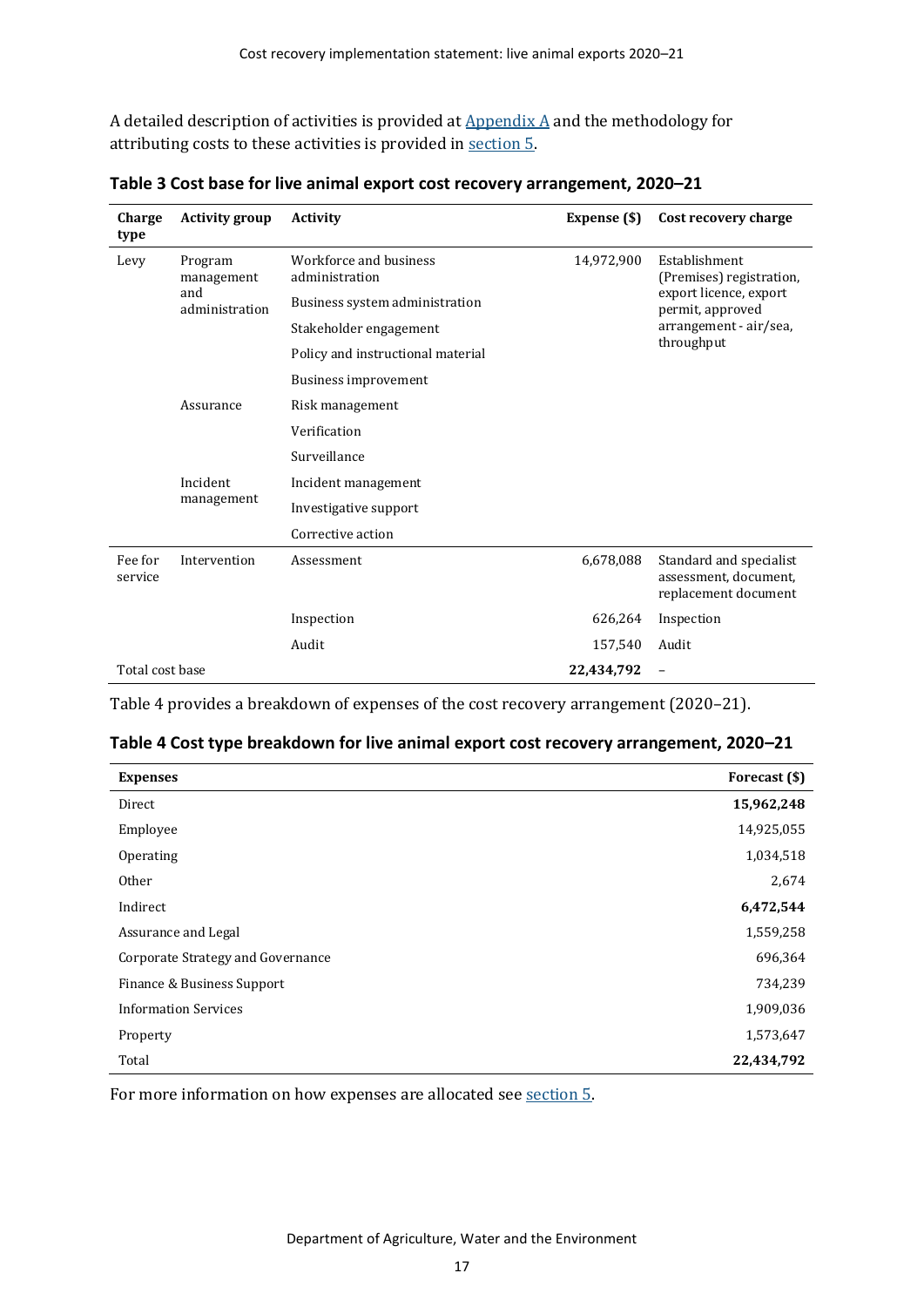A detailed description of activities is provided at  $\Delta$ ppendix  $\Delta$  and the methodology for attributing costs to these activities is provided in [section 5](#page-15-0).

| Charge<br>type     | <b>Activity group</b>                          | <b>Activity</b>                          | Expense (\$) | Cost recovery charge                                                     |  |
|--------------------|------------------------------------------------|------------------------------------------|--------------|--------------------------------------------------------------------------|--|
| Levy               | Program<br>management<br>and<br>administration | Workforce and business<br>administration | 14,972,900   | Establishment<br>(Premises) registration,                                |  |
|                    |                                                | Business system administration           |              | export licence, export<br>permit, approved<br>arrangement - air/sea,     |  |
|                    |                                                | Stakeholder engagement                   |              |                                                                          |  |
|                    |                                                | Policy and instructional material        |              | throughput                                                               |  |
|                    |                                                | Business improvement                     |              |                                                                          |  |
|                    | Assurance                                      | Risk management                          |              |                                                                          |  |
|                    |                                                | Verification                             |              |                                                                          |  |
|                    |                                                | Surveillance                             |              |                                                                          |  |
|                    | Incident<br>management                         | Incident management                      |              |                                                                          |  |
|                    |                                                | Investigative support                    |              |                                                                          |  |
|                    |                                                | Corrective action                        |              |                                                                          |  |
| Fee for<br>service | Intervention                                   | Assessment                               | 6,678,088    | Standard and specialist<br>assessment, document,<br>replacement document |  |
|                    |                                                | Inspection                               | 626,264      | Inspection                                                               |  |
|                    |                                                | Audit                                    | 157,540      | Audit                                                                    |  |
| Total cost base    |                                                |                                          | 22,434,792   |                                                                          |  |

<span id="page-22-0"></span>**Table 3 Cost base for live animal export cost recovery arrangement, 2020–21**

[Table 4](#page-22-1) provides a breakdown of expenses of the cost recovery arrangement (2020–21).

<span id="page-22-1"></span>

| Table 4 Cost type breakdown for live animal export cost recovery arrangement, 2020-21 |  |  |
|---------------------------------------------------------------------------------------|--|--|
|---------------------------------------------------------------------------------------|--|--|

| <b>Expenses</b>                   | Forecast (\$) |
|-----------------------------------|---------------|
| Direct                            | 15,962,248    |
| Employee                          | 14,925,055    |
| Operating                         | 1,034,518     |
| Other                             | 2,674         |
| Indirect                          | 6,472,544     |
| Assurance and Legal               | 1,559,258     |
| Corporate Strategy and Governance | 696,364       |
| Finance & Business Support        | 734,239       |
| <b>Information Services</b>       | 1,909,036     |
| Property                          | 1,573,647     |
| Total                             | 22,434,792    |

For more information on how expenses are allocated see [section](#page-15-0) 5.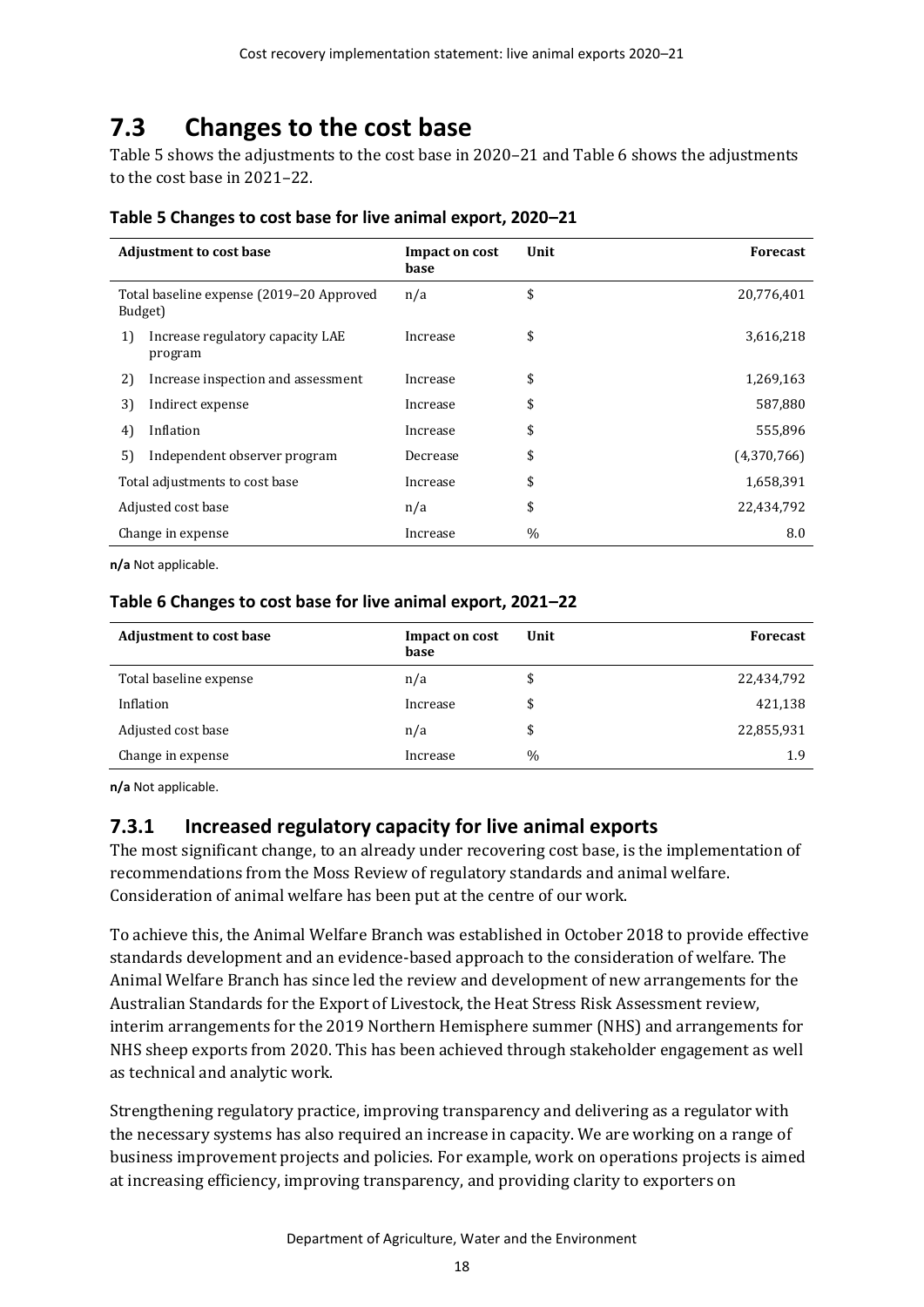# <span id="page-23-0"></span>**7.3 Changes to the cost base**

[Table 5](#page-23-1) shows the adjustments to the cost base in 2020–21 an[d Table 6](#page-23-2) shows the adjustments to the cost base in 2021–22.

| <b>Adjustment to cost base</b>                      |                                             | Impact on cost<br>base | Unit | <b>Forecast</b> |
|-----------------------------------------------------|---------------------------------------------|------------------------|------|-----------------|
| Total baseline expense (2019-20 Approved<br>Budget) |                                             | n/a                    | \$   | 20,776,401      |
| 1)                                                  | Increase regulatory capacity LAE<br>program | Increase               | \$   | 3,616,218       |
| 2)                                                  | Increase inspection and assessment          | Increase               | \$   | 1,269,163       |
| 3)                                                  | Indirect expense                            | Increase               | \$   | 587,880         |
| 4)                                                  | Inflation                                   | Increase               | \$   | 555,896         |
| 5)                                                  | Independent observer program                | Decrease               | \$   | (4,370,766)     |
| Total adjustments to cost base                      |                                             | Increase               | \$   | 1,658,391       |
| Adjusted cost base                                  |                                             | n/a                    | \$   | 22,434,792      |
| Change in expense                                   |                                             | Increase               | $\%$ | 8.0             |

#### <span id="page-23-1"></span>**Table 5 Changes to cost base for live animal export, 2020–21**

**n/a** Not applicable.

#### <span id="page-23-2"></span>**Table 6 Changes to cost base for live animal export, 2021–22**

| <b>Adjustment to cost base</b> | Impact on cost<br>base | Unit | <b>Forecast</b> |
|--------------------------------|------------------------|------|-----------------|
| Total baseline expense         | n/a                    | \$   | 22,434,792      |
| Inflation                      | Increase               | \$   | 421,138         |
| Adjusted cost base             | n/a                    | \$   | 22,855,931      |
| Change in expense              | Increase               | $\%$ | 1.9             |

**n/a** Not applicable.

### **7.3.1 Increased regulatory capacity for live animal exports**

The most significant change, to an already under recovering cost base, is the implementation of recommendations from the Moss Review of regulatory standards and animal welfare. Consideration of animal welfare has been put at the centre of our work.

To achieve this, the Animal Welfare Branch was established in October 2018 to provide effective standards development and an evidence-based approach to the consideration of welfare. The Animal Welfare Branch has since led the review and development of new arrangements for the Australian Standards for the Export of Livestock, the Heat Stress Risk Assessment review, interim arrangements for the 2019 Northern Hemisphere summer (NHS) and arrangements for NHS sheep exports from 2020. This has been achieved through stakeholder engagement as well as technical and analytic work.

Strengthening regulatory practice, improving transparency and delivering as a regulator with the necessary systems has also required an increase in capacity. We are working on a range of business improvement projects and policies. For example, work on operations projects is aimed at increasing efficiency, improving transparency, and providing clarity to exporters on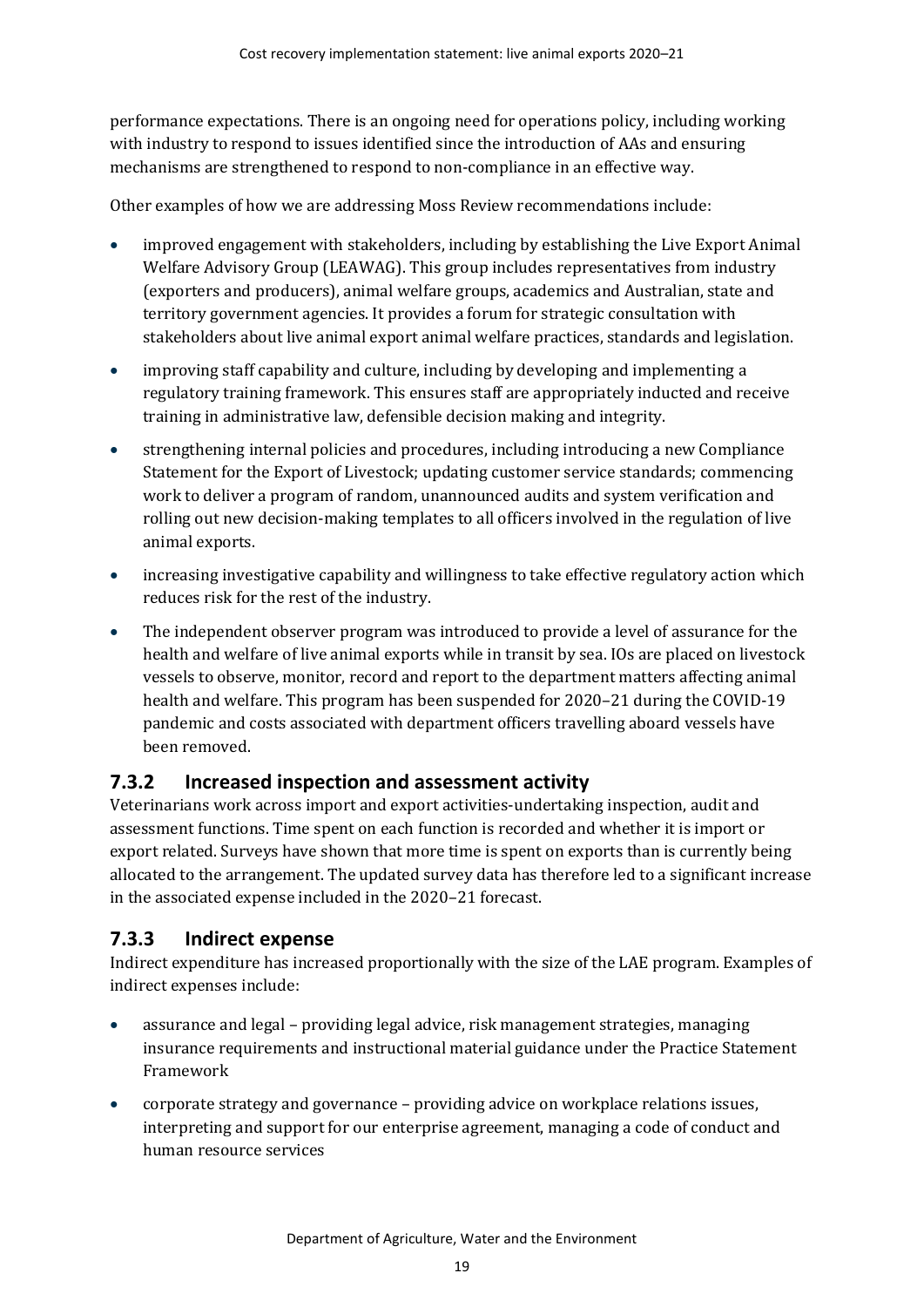performance expectations. There is an ongoing need for operations policy, including working with industry to respond to issues identified since the introduction of AAs and ensuring mechanisms are strengthened to respond to non-compliance in an effective way.

Other examples of how we are addressing Moss Review recommendations include:

- improved engagement with stakeholders, including by establishing the Live Export Animal Welfare Advisory Group (LEAWAG). This group includes representatives from industry (exporters and producers), animal welfare groups, academics and Australian, state and territory government agencies. It provides a forum for strategic consultation with stakeholders about live animal export animal welfare practices, standards and legislation.
- improving staff capability and culture, including by developing and implementing a regulatory training framework. This ensures staff are appropriately inducted and receive training in administrative law, defensible decision making and integrity.
- strengthening internal policies and procedures, including introducing a new Compliance Statement for the Export of Livestock; updating customer service standards; commencing work to deliver a program of random, unannounced audits and system verification and rolling out new decision-making templates to all officers involved in the regulation of live animal exports.
- increasing investigative capability and willingness to take effective regulatory action which reduces risk for the rest of the industry.
- The independent observer program was introduced to provide a level of assurance for the health and welfare of live animal exports while in transit by sea. IOs are placed on livestock vessels to observe, monitor, record and report to the department matters affecting animal health and welfare. This program has been suspended for 2020–21 during the COVID-19 pandemic and costs associated with department officers travelling aboard vessels have been removed.

## **7.3.2 Increased inspection and assessment activity**

Veterinarians work across import and export activities-undertaking inspection, audit and assessment functions. Time spent on each function is recorded and whether it is import or export related. Surveys have shown that more time is spent on exports than is currently being allocated to the arrangement. The updated survey data has therefore led to a significant increase in the associated expense included in the 2020–21 forecast.

## **7.3.3 Indirect expense**

Indirect expenditure has increased proportionally with the size of the LAE program. Examples of indirect expenses include:

- assurance and legal providing legal advice, risk management strategies, managing insurance requirements and instructional material guidance under the Practice Statement Framework
- corporate strategy and governance providing advice on workplace relations issues, interpreting and support for our enterprise agreement, managing a code of conduct and human resource services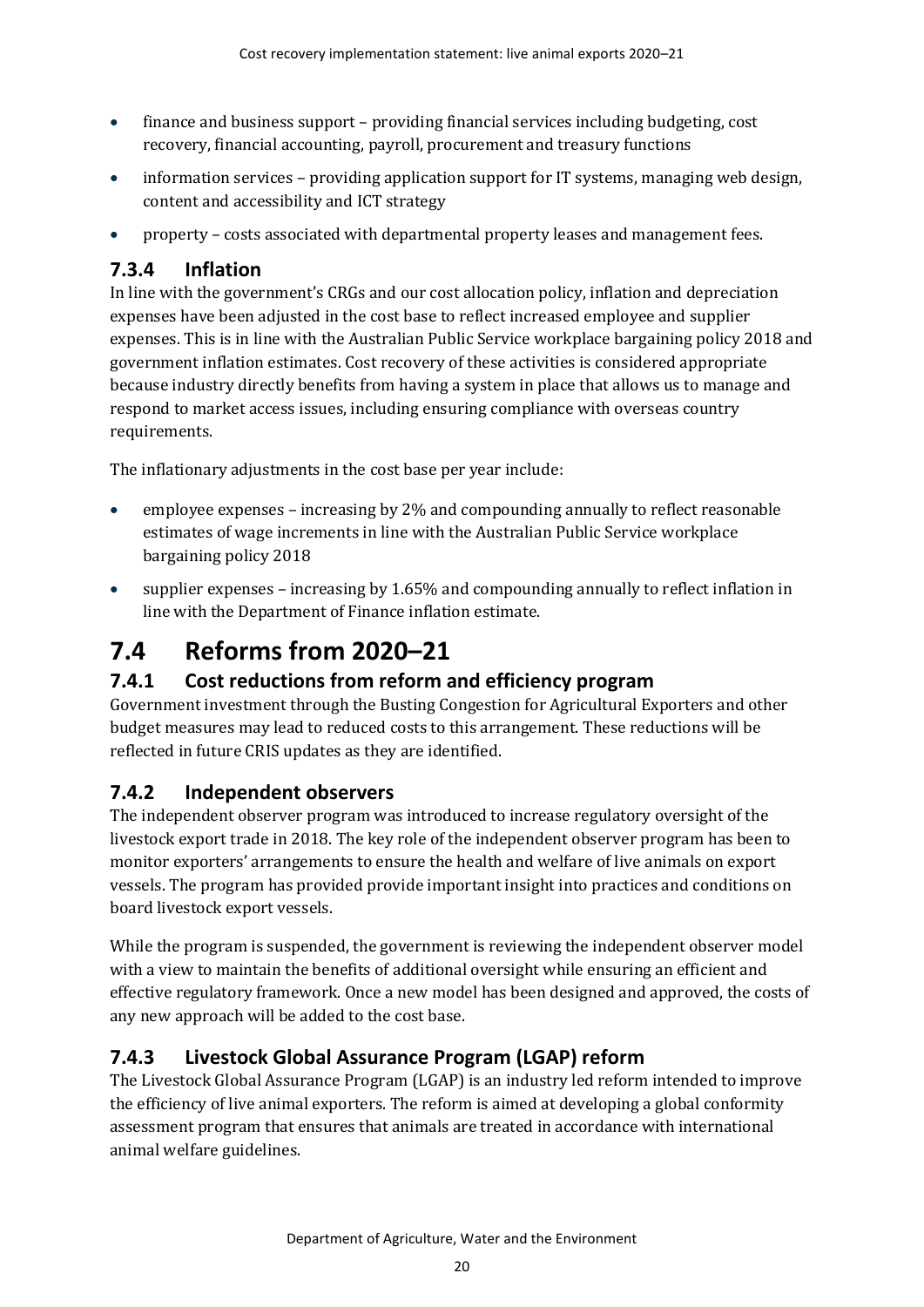- finance and business support providing financial services including budgeting, cost recovery, financial accounting, payroll, procurement and treasury functions
- information services providing application support for IT systems, managing web design, content and accessibility and ICT strategy
- property costs associated with departmental property leases and management fees.

## **7.3.4 Inflation**

In line with the government's CRGs and our cost allocation policy, inflation and depreciation expenses have been adjusted in the cost base to reflect increased employee and supplier expenses. This is in line with the Australian Public Service workplace bargaining policy 2018 and government inflation estimates. Cost recovery of these activities is considered appropriate because industry directly benefits from having a system in place that allows us to manage and respond to market access issues, including ensuring compliance with overseas country requirements.

The inflationary adjustments in the cost base per year include:

- employee expenses increasing by 2% and compounding annually to reflect reasonable estimates of wage increments in line with the Australian Public Service workplace bargaining policy 2018
- supplier expenses increasing by 1.65% and compounding annually to reflect inflation in line with the Department of Finance inflation estimate.

# <span id="page-25-0"></span>**7.4 Reforms from 2020–21**

## **7.4.1 Cost reductions from reform and efficiency program**

Government investment through the Busting Congestion for Agricultural Exporters and other budget measures may lead to reduced costs to this arrangement. These reductions will be reflected in future CRIS updates as they are identified.

## **7.4.2 Independent observers**

The independent observer program was introduced to increase regulatory oversight of the livestock export trade in 2018. The key role of the independent observer program has been to monitor exporters' arrangements to ensure the health and welfare of live animals on export vessels. The program has provided provide important insight into practices and conditions on board livestock export vessels.

While the program is suspended, the government is reviewing the independent observer model with a view to maintain the benefits of additional oversight while ensuring an efficient and effective regulatory framework. Once a new model has been designed and approved, the costs of any new approach will be added to the cost base.

## **7.4.3 Livestock Global Assurance Program (LGAP) reform**

The Livestock Global Assurance Program (LGAP) is an industry led reform intended to improve the efficiency of live animal exporters. The reform is aimed at developing a global conformity assessment program that ensures that animals are treated in accordance with international animal welfare guidelines.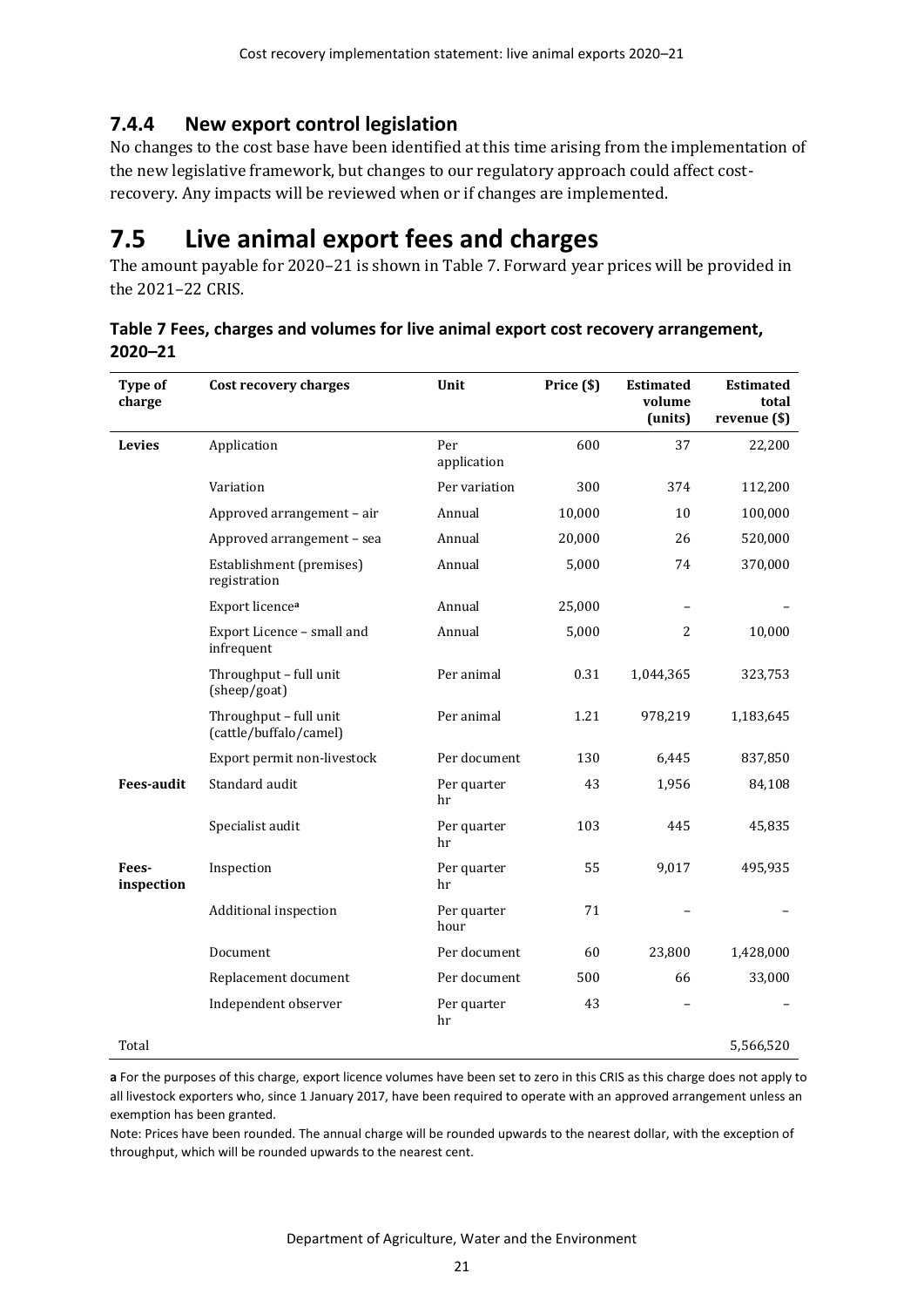## **7.4.4 New export control legislation**

No changes to the cost base have been identified at this time arising from the implementation of the new legislative framework, but changes to our regulatory approach could affect costrecovery. Any impacts will be reviewed when or if changes are implemented.

## <span id="page-26-0"></span>**7.5 Live animal export fees and charges**

The amount payable for 2020–21 is shown in [Table 7.](#page-26-1) Forward year prices will be provided in the 2021–22 CRIS.

| Type of<br>charge   | <b>Cost recovery charges</b>                     | Unit                | Price (\$) | <b>Estimated</b><br>volume<br>(units) | <b>Estimated</b><br>total<br>revenue (\$) |
|---------------------|--------------------------------------------------|---------------------|------------|---------------------------------------|-------------------------------------------|
| <b>Levies</b>       | Application                                      | Per<br>application  | 600        | 37                                    | 22,200                                    |
|                     | Variation                                        | Per variation       | 300        | 374                                   | 112,200                                   |
|                     | Approved arrangement - air                       | Annual              | 10,000     | 10                                    | 100,000                                   |
|                     | Approved arrangement - sea                       | Annual              | 20,000     | 26                                    | 520,000                                   |
|                     | Establishment (premises)<br>registration         | Annual              | 5,000      | 74                                    | 370,000                                   |
|                     | Export licence <sup>a</sup>                      | Annual              | 25,000     |                                       |                                           |
|                     | Export Licence - small and<br>infrequent         | Annual              | 5,000      | $\overline{2}$                        | 10,000                                    |
|                     | Throughput - full unit<br>(sheep/goat)           | Per animal          | 0.31       | 1,044,365                             | 323,753                                   |
|                     | Throughput - full unit<br>(cattle/buffalo/camel) | Per animal          | 1.21       | 978,219                               | 1,183,645                                 |
|                     | Export permit non-livestock                      | Per document        | 130        | 6,445                                 | 837,850                                   |
| <b>Fees-audit</b>   | Standard audit                                   | Per quarter<br>hr   | 43         | 1,956                                 | 84,108                                    |
|                     | Specialist audit                                 | Per quarter<br>hr   | 103        | 445                                   | 45,835                                    |
| Fees-<br>inspection | Inspection                                       | Per quarter<br>hr   | 55         | 9,017                                 | 495,935                                   |
|                     | Additional inspection                            | Per quarter<br>hour | 71         |                                       |                                           |
|                     | Document                                         | Per document        | 60         | 23,800                                | 1,428,000                                 |
|                     | Replacement document                             | Per document        | 500        | 66                                    | 33,000                                    |
|                     | Independent observer                             | Per quarter<br>hr   | 43         |                                       |                                           |
| Total               |                                                  |                     |            |                                       | 5,566,520                                 |

<span id="page-26-1"></span>**Table 7 Fees, charges and volumes for live animal export cost recovery arrangement, 2020–21**

**a** For the purposes of this charge, export licence volumes have been set to zero in this CRIS as this charge does not apply to all livestock exporters who, since 1 January 2017, have been required to operate with an approved arrangement unless an exemption has been granted.

Note: Prices have been rounded. The annual charge will be rounded upwards to the nearest dollar, with the exception of throughput, which will be rounded upwards to the nearest cent.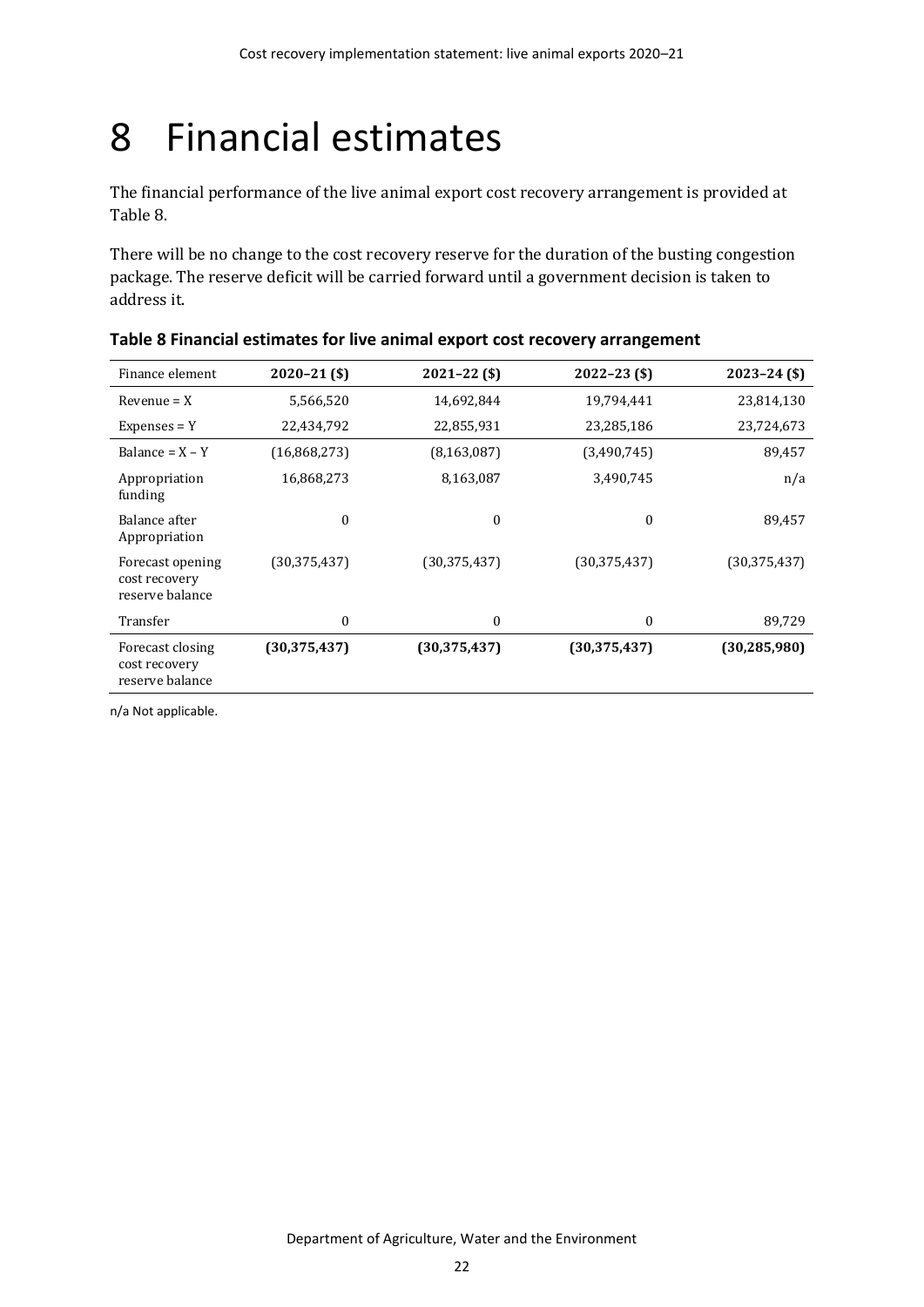# <span id="page-27-0"></span>8 Financial estimates

The financial performance of the live animal export cost recovery arrangement is provided at [Table 8.](#page-27-1)

There will be no change to the cost recovery reserve for the duration of the busting congestion package. The reserve deficit will be carried forward until a government decision is taken to address it.

| Finance element                                      | $2020 - 21$ (\$) | $2021 - 22($ \$) | $2022 - 23$ (\$) | $2023 - 24$ (\$) |
|------------------------------------------------------|------------------|------------------|------------------|------------------|
| $Revenue = X$                                        | 5,566,520        | 14,692,844       | 19,794,441       | 23,814,130       |
| $Expenses = Y$                                       | 22,434,792       | 22,855,931       | 23,285,186       | 23,724,673       |
| Balance = $X - Y$                                    | (16,868,273)     | (8, 163, 087)    | (3,490,745)      | 89,457           |
| Appropriation<br>funding                             | 16,868,273       | 8,163,087        | 3,490,745        | n/a              |
| Balance after<br>Appropriation                       | $\theta$         | 0                | $\theta$         | 89,457           |
| Forecast opening<br>cost recovery<br>reserve balance | (30, 375, 437)   | (30, 375, 437)   | (30, 375, 437)   | (30, 375, 437)   |
| Transfer                                             | $\boldsymbol{0}$ | 0                | $\boldsymbol{0}$ | 89,729           |
| Forecast closing<br>cost recovery<br>reserve balance | (30, 375, 437)   | (30, 375, 437)   | (30, 375, 437)   | (30, 285, 980)   |

<span id="page-27-1"></span>

n/a Not applicable.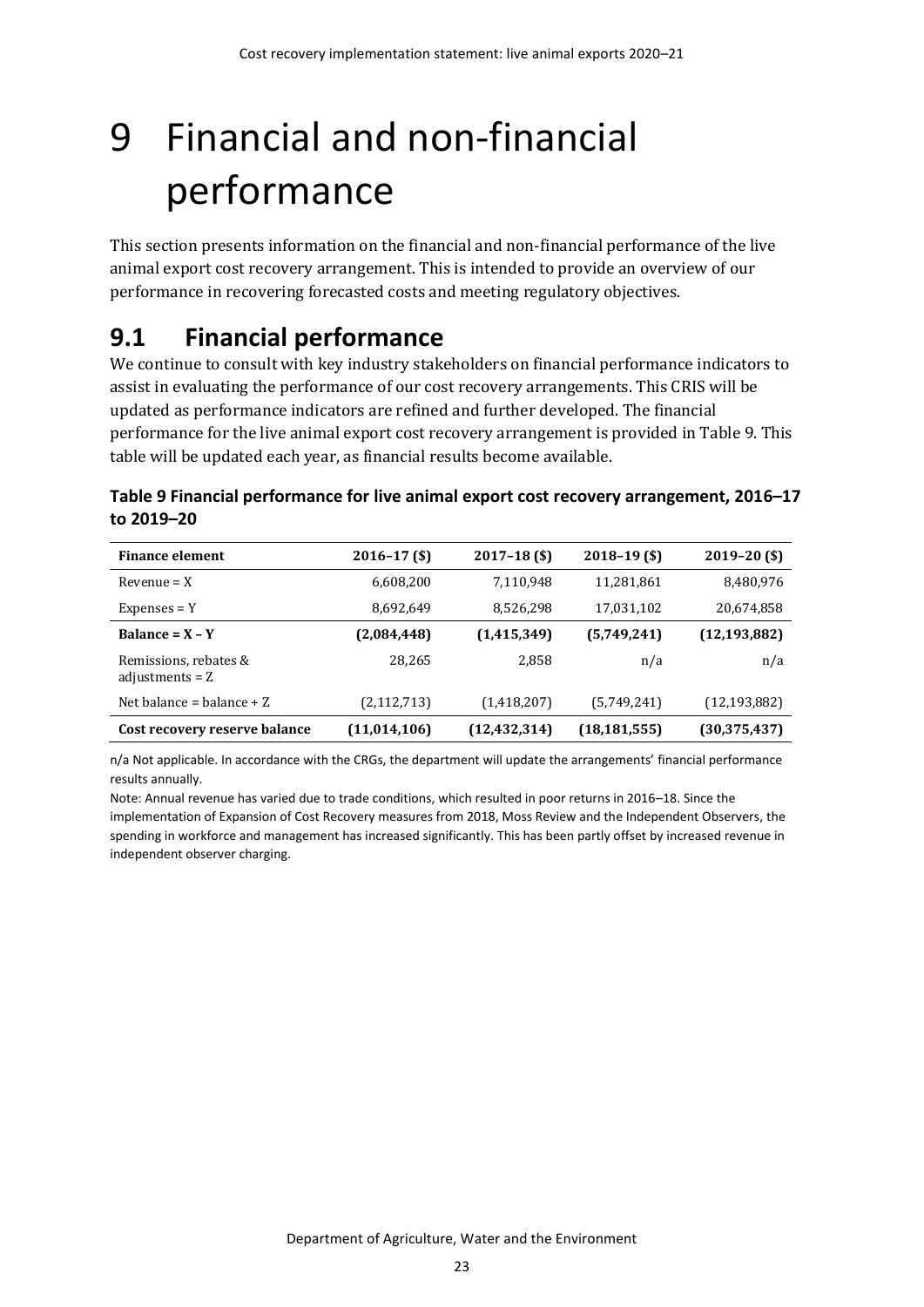# <span id="page-28-0"></span>9 Financial and non-financial performance

This section presents information on the financial and non-financial performance of the live animal export cost recovery arrangement. This is intended to provide an overview of our performance in recovering forecasted costs and meeting regulatory objectives.

## <span id="page-28-1"></span>**9.1 Financial performance**

We continue to consult with key industry stakeholders on financial performance indicators to assist in evaluating the performance of our cost recovery arrangements. This CRIS will be updated as performance indicators are refined and further developed. The financial performance for the live animal export cost recovery arrangement is provided in [Table 9.](#page-28-2) This table will be updated each year, as financial results become available.

<span id="page-28-2"></span>

| Table 9 Financial performance for live animal export cost recovery arrangement, 2016–17 |  |
|-----------------------------------------------------------------------------------------|--|
| to 2019–20                                                                              |  |

| <b>Finance element</b>                     | $2016 - 17$ (\$) | $2017 - 18$ (\$) | $2018 - 19$ (\$) | $2019 - 20$ (\$) |
|--------------------------------------------|------------------|------------------|------------------|------------------|
| $Revenue = X$                              | 6,608,200        | 7,110,948        | 11,281,861       | 8,480,976        |
| $Expenses = Y$                             | 8,692,649        | 8,526,298        | 17,031,102       | 20,674,858       |
| Balance = $X - Y$                          | (2,084,448)      | (1, 415, 349)    | (5,749,241)      | (12, 193, 882)   |
| Remissions, rebates &<br>adjustments $= Z$ | 28,265           | 2,858            | n/a              | n/a              |
| Net balance = balance $+Z$                 | (2, 112, 713)    | (1,418,207)      | (5,749,241)      | (12, 193, 882)   |
| Cost recovery reserve balance              | (11, 014, 106)   | (12, 432, 314)   | (18, 181, 555)   | (30, 375, 437)   |

n/a Not applicable. In accordance with the CRGs, the department will update the arrangements' financial performance results annually.

Note: Annual revenue has varied due to trade conditions, which resulted in poor returns in 2016–18. Since the implementation of Expansion of Cost Recovery measures from 2018, Moss Review and the Independent Observers, the spending in workforce and management has increased significantly. This has been partly offset by increased revenue in independent observer charging.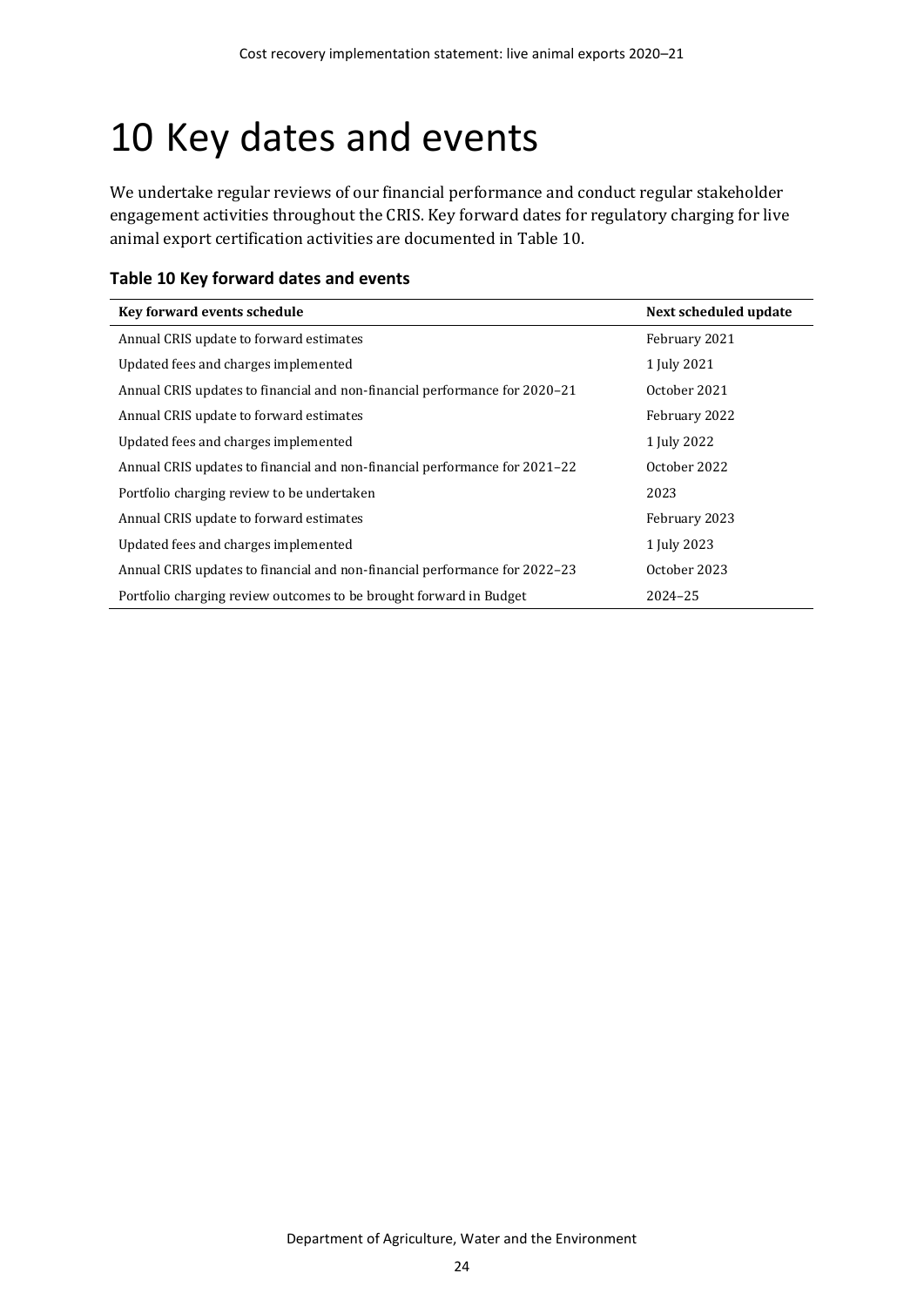# <span id="page-29-0"></span>10 Key dates and events

We undertake regular reviews of our financial performance and conduct regular stakeholder engagement activities throughout the CRIS. Key forward dates for regulatory charging for live animal export certification activities are documented in [Table 10.](#page-29-1)

<span id="page-29-1"></span>

| Table 10 Key forward dates and events |  |  |  |  |
|---------------------------------------|--|--|--|--|
|---------------------------------------|--|--|--|--|

| Key forward events schedule                                                | Next scheduled update |
|----------------------------------------------------------------------------|-----------------------|
| Annual CRIS update to forward estimates                                    | February 2021         |
| Updated fees and charges implemented                                       | 1 July 2021           |
| Annual CRIS updates to financial and non-financial performance for 2020–21 | October 2021          |
| Annual CRIS update to forward estimates                                    | February 2022         |
| Updated fees and charges implemented                                       | 1 July 2022           |
| Annual CRIS updates to financial and non-financial performance for 2021–22 | October 2022          |
| Portfolio charging review to be undertaken                                 | 2023                  |
| Annual CRIS update to forward estimates                                    | February 2023         |
| Updated fees and charges implemented                                       | 1 July 2023           |
| Annual CRIS updates to financial and non-financial performance for 2022–23 | October 2023          |
| Portfolio charging review outcomes to be brought forward in Budget         | 2024-25               |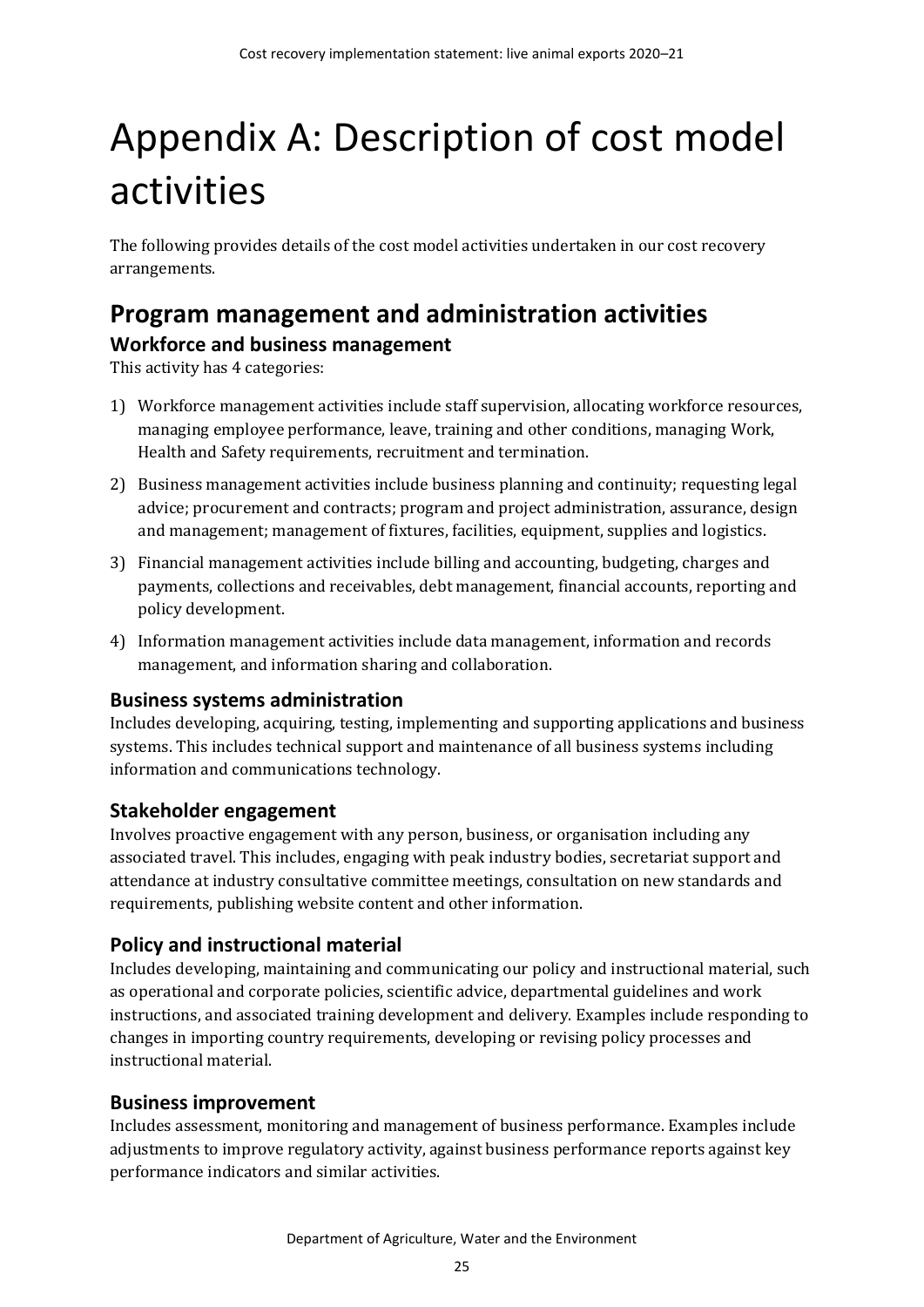# <span id="page-30-0"></span>Appendix A: Description of cost model activities

The following provides details of the cost model activities undertaken in our cost recovery arrangements.

## <span id="page-30-1"></span>**Program management and administration activities Workforce and business management**

This activity has 4 categories:

- 1) Workforce management activities include staff supervision, allocating workforce resources, managing employee performance, leave, training and other conditions, managing Work, Health and Safety requirements, recruitment and termination.
- 2) Business management activities include business planning and continuity; requesting legal advice; procurement and contracts; program and project administration, assurance, design and management; management of fixtures, facilities, equipment, supplies and logistics.
- 3) Financial management activities include billing and accounting, budgeting, charges and payments, collections and receivables, debt management, financial accounts, reporting and policy development.
- 4) Information management activities include data management, information and records management, and information sharing and collaboration.

### **Business systems administration**

Includes developing, acquiring, testing, implementing and supporting applications and business systems. This includes technical support and maintenance of all business systems including information and communications technology.

### **Stakeholder engagement**

Involves proactive engagement with any person, business, or organisation including any associated travel. This includes, engaging with peak industry bodies, secretariat support and attendance at industry consultative committee meetings, consultation on new standards and requirements, publishing website content and other information.

### **Policy and instructional material**

Includes developing, maintaining and communicating our policy and instructional material, such as operational and corporate policies, scientific advice, departmental guidelines and work instructions, and associated training development and delivery. Examples include responding to changes in importing country requirements, developing or revising policy processes and instructional material.

### **Business improvement**

Includes assessment, monitoring and management of business performance. Examples include adjustments to improve regulatory activity, against business performance reports against key performance indicators and similar activities.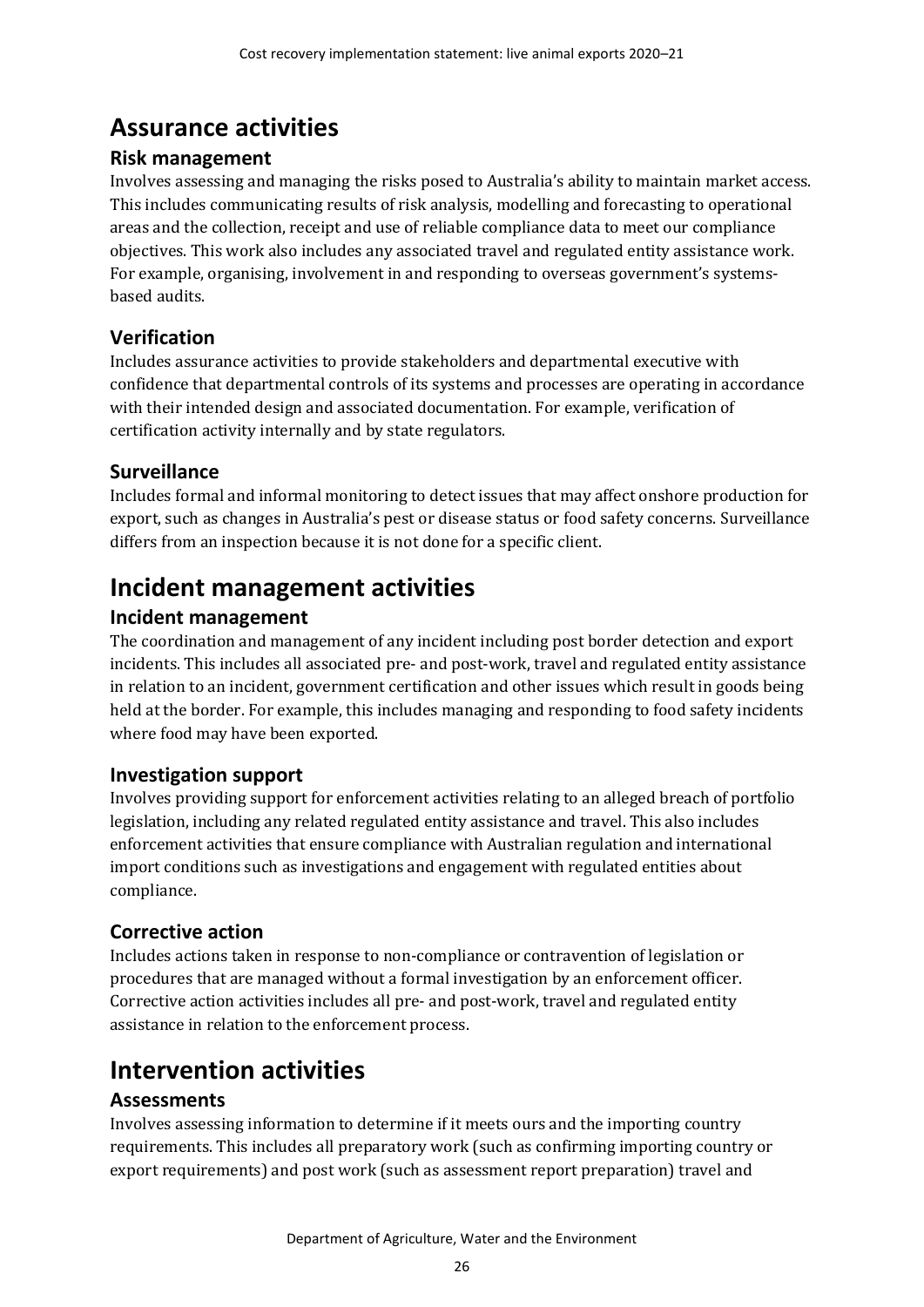# <span id="page-31-0"></span>**Assurance activities**

### **Risk management**

Involves assessing and managing the risks posed to Australia's ability to maintain market access. This includes communicating results of risk analysis, modelling and forecasting to operational areas and the collection, receipt and use of reliable compliance data to meet our compliance objectives. This work also includes any associated travel and regulated entity assistance work. For example, organising, involvement in and responding to overseas government's systemsbased audits.

## **Verification**

Includes assurance activities to provide stakeholders and departmental executive with confidence that departmental controls of its systems and processes are operating in accordance with their intended design and associated documentation. For example, verification of certification activity internally and by state regulators.

## **Surveillance**

Includes formal and informal monitoring to detect issues that may affect onshore production for export, such as changes in Australia's pest or disease status or food safety concerns. Surveillance differs from an inspection because it is not done for a specific client.

# <span id="page-31-1"></span>**Incident management activities**

## **Incident management**

The coordination and management of any incident including post border detection and export incidents. This includes all associated pre- and post-work, travel and regulated entity assistance in relation to an incident, government certification and other issues which result in goods being held at the border. For example, this includes managing and responding to food safety incidents where food may have been exported.

## **Investigation support**

Involves providing support for enforcement activities relating to an alleged breach of portfolio legislation, including any related regulated entity assistance and travel. This also includes enforcement activities that ensure compliance with Australian regulation and international import conditions such as investigations and engagement with regulated entities about compliance.

## **Corrective action**

Includes actions taken in response to non-compliance or contravention of legislation or procedures that are managed without a formal investigation by an enforcement officer. Corrective action activities includes all pre- and post-work, travel and regulated entity assistance in relation to the enforcement process.

## <span id="page-31-2"></span>**Intervention activities**

## **Assessments**

Involves assessing information to determine if it meets ours and the importing country requirements. This includes all preparatory work (such as confirming importing country or export requirements) and post work (such as assessment report preparation) travel and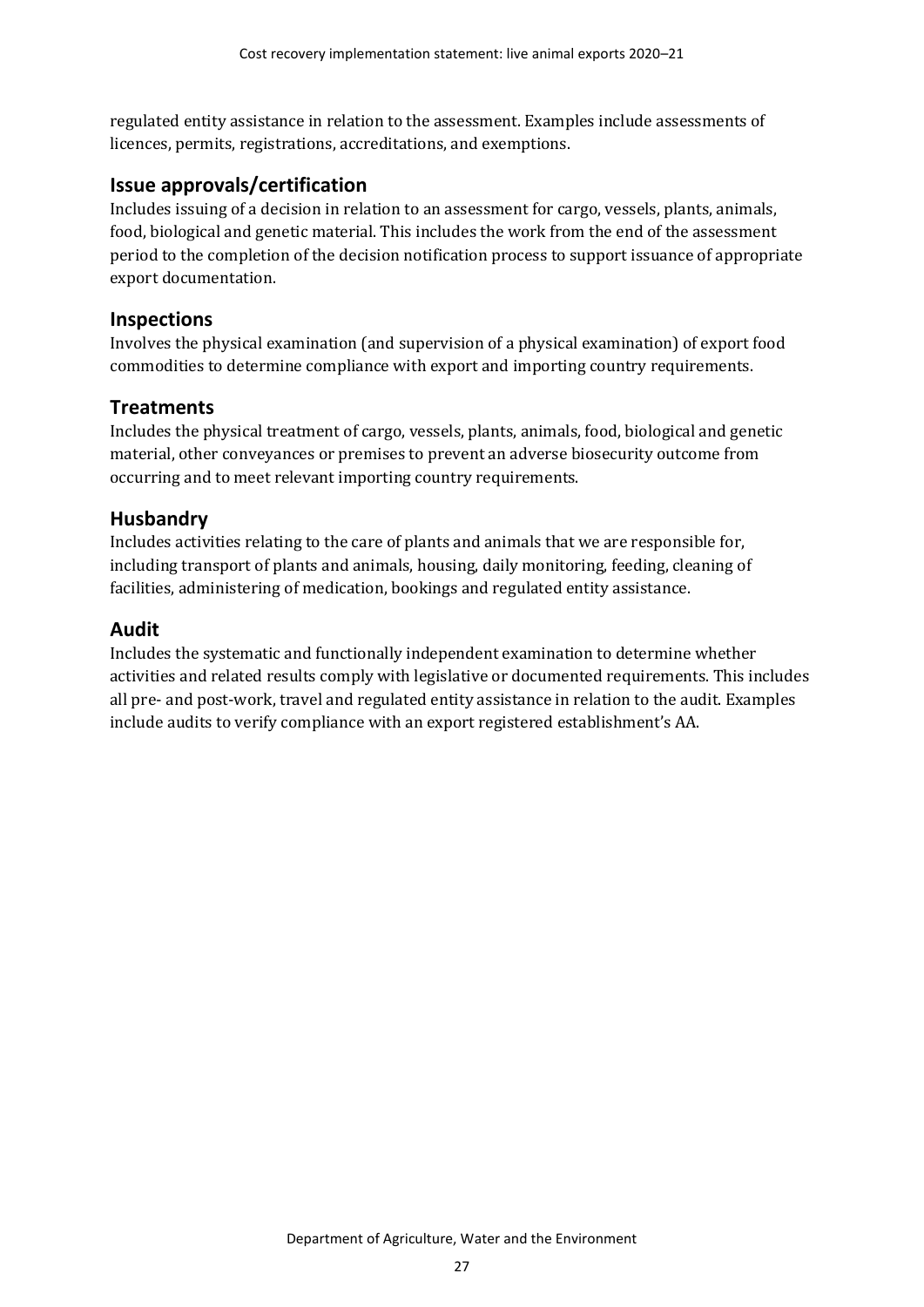regulated entity assistance in relation to the assessment. Examples include assessments of licences, permits, registrations, accreditations, and exemptions.

### **Issue approvals/certification**

Includes issuing of a decision in relation to an assessment for cargo, vessels, plants, animals, food, biological and genetic material. This includes the work from the end of the assessment period to the completion of the decision notification process to support issuance of appropriate export documentation.

### **Inspections**

Involves the physical examination (and supervision of a physical examination) of export food commodities to determine compliance with export and importing country requirements.

### **Treatments**

Includes the physical treatment of cargo, vessels, plants, animals, food, biological and genetic material, other conveyances or premises to prevent an adverse biosecurity outcome from occurring and to meet relevant importing country requirements.

### **Husbandry**

Includes activities relating to the care of plants and animals that we are responsible for, including transport of plants and animals, housing, daily monitoring, feeding, cleaning of facilities, administering of medication, bookings and regulated entity assistance.

### **Audit**

Includes the systematic and functionally independent examination to determine whether activities and related results comply with legislative or documented requirements. This includes all pre- and post-work, travel and regulated entity assistance in relation to the audit. Examples include audits to verify compliance with an export registered establishment's AA.